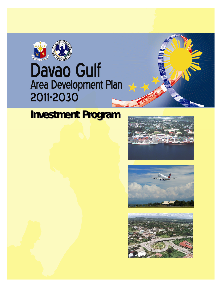

## **Davao Gulf** Area Development Plan 2011-2030

## **Investment Program**





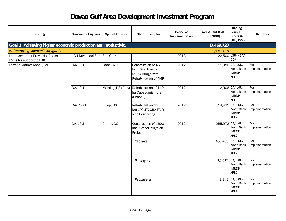## **Davao Gulf Area Development Investment Program**

| <b>Strategy</b>                                                 | <b>Government Agency</b> | <b>Spatial Location</b> | <b>Short Description</b>                                                             | Period of<br>Implementation | <b>Investment Cost</b><br>(PhP'000) | <b>Funding</b><br>Source<br>(NG,ODA,<br>LGU, PPP)              | Remarks               |
|-----------------------------------------------------------------|--------------------------|-------------------------|--------------------------------------------------------------------------------------|-----------------------------|-------------------------------------|----------------------------------------------------------------|-----------------------|
| Goal 1: Achieving higher economic production and productivity   |                          |                         |                                                                                      |                             | 10,469,720                          |                                                                |                       |
| a. Improving economic integration                               |                          |                         |                                                                                      |                             | 1,179,715                           |                                                                |                       |
| Improvement of Provincial Roads and<br>FMRs for support to PAIC | LGU-Davao del Sur        | Sta. Cruz               |                                                                                      | 2013                        |                                     | 22,500 LGU/NGA/<br><b>ODA</b>                                  |                       |
| Farm to Market Road (FMR)                                       | DA/LGU                   | Laak, CVP               | Construction of 45<br>In.m. Sta. Emelia<br>RCDG Bridge with<br>Rehabilitation of FMR | 2012                        |                                     | 11,986 DA/ LGU/<br>World Bank<br>(MRDP-<br>APL <sub>2</sub> )  | For<br>Implementation |
|                                                                 | DA/LGU                   |                         | Malalag , DS (Prov) Rehabilitation of 110<br>ha Cabacungan CIS<br>(Phase I)          | 2012                        |                                     | 12,906 DA/ LGU/<br>World Bank<br>(MRDP-<br>APL <sub>2</sub> )  | For<br>Implementation |
|                                                                 | DA/PLGU                  | Sulop, DS               | Rehabilitation of 8.50<br>km LACLITCOBA FMR<br>with Concreting                       | 2012                        |                                     | 14,431 DA/ LGU/<br>World Bank<br>(MRDP-<br>APL <sub>2</sub> )  | For<br>Implementation |
|                                                                 | DA/LGU                   | Cateel, DO              | Construction of 1600<br>has. Cateel Irrigation<br>Project                            | 2012                        |                                     | 255,972 DA/ LGU/<br>World Bank<br>(MRDP-<br>APL <sub>2</sub> ) | For<br>Implementation |
|                                                                 |                          |                         | Package I                                                                            |                             | 168,460 DA/ LGU/                    | World Bank<br>(MRDP-<br>APL <sub>2</sub> )                     | For<br>Implementation |
|                                                                 |                          |                         | Package II                                                                           |                             |                                     | 79,070 DA/ LGU/<br>World Bank<br>(MRDP-<br>APL <sub>2</sub> )  | For<br>Implementation |
|                                                                 |                          |                         | Package III                                                                          |                             |                                     | 8,442 DA/ LGU/<br>World Bank<br>(MRDP-<br>APL2)                | For<br>Implementation |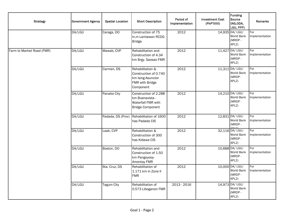| <b>Strategy</b>           | <b>Government Agency</b> | <b>Spatial Location</b> | <b>Short Description</b>                                                                       | Period of<br>Implementation | <b>Investment Cost</b><br>(PhP'000) | Funding<br>Source<br>(NG,ODA,<br>LGU, PPP)                           | <b>Remarks</b>        |
|---------------------------|--------------------------|-------------------------|------------------------------------------------------------------------------------------------|-----------------------------|-------------------------------------|----------------------------------------------------------------------|-----------------------|
|                           | DA/LGU                   | Caraga, DO              | Construction of 75<br>In.m Lamiawan RCDG<br><b>Bridge</b>                                      | 2012                        |                                     | 14,935 DA/ LGU/<br>World Bank<br>(MRDP-<br>APL <sub>2</sub> )        | For<br>Implementation |
| Farm to Market Road (FMR) | DA/LGU                   | Mawab, CVP              | Rehabilitation and<br>Construction of 4.34<br>km Brgy. Saosao FMR                              | 2012                        |                                     | 11,427 DA/ LGU/<br>World Bank<br>(MRDP-<br>APL <sub>2</sub> )        | For<br>Implementation |
|                           | DA/LGU                   | Carmen, DS              | Rehabilitation &<br>Construction of 0.740<br>km Ising-Asuncion<br>FMR with Bridge<br>Component | 2012                        |                                     | 11,311 DA/ LGU/<br>World Bank<br>(MRDP-<br>APL <sub>2</sub> )        | For<br>Implementation |
|                           | DA/LGU                   | Panabo City             | Construction of 2.288<br>km Buenavista -<br>Waterfall FMR with<br><b>Bridge Component</b>      | 2012                        |                                     | 14,210 DA/ LGU/<br>World Bank<br>(MRDP-<br>APL <sub>2</sub> )        | For<br>Implementation |
|                           | DA/LGU                   | Padada, DS (Prov)       | Rehabilitation of 1600<br>has Padada CIS                                                       | 2012                        |                                     | 12,831 DA/ LGU/<br>World Bank<br>(MRDP-                              | For<br>Implementation |
|                           | DA/LGU                   | Laak, CVP               | Rehabilitation &<br>Construction of 300<br>has Kidawa CIS                                      | 2012                        |                                     | 32,116 DA/ LGU/<br>World Bank<br>(MRDP-<br>APL <sub>2</sub> )        | For<br>Implementation |
|                           | DA/LGU                   | Boston, DO              | Rehabilitation and<br>Construction of 1.50<br>km Pangoyooy-<br>Amontay FMR                     | 2012                        |                                     | 10,688 DA/ LGU/<br>World Bank<br>(MRDP-<br>APL2)                     | For<br>Implementation |
|                           | DA/LGU                   | Sta. Cruz, DS           | Rehabilitation of<br>1.171 km in Zone II<br><b>FMR</b>                                         | 2012                        |                                     | 10,000 DA/ LGU/<br>World Bank<br>(MRDP-<br>APL <sub>2</sub> )        | For<br>Implementation |
|                           | DA/LGU                   | Tagum City              | Rehabilitation of<br>0.573 Liboganon FMR                                                       | 2013 - 2016                 |                                     | 14,973 DA/ LGU/<br><b>World Bank</b><br>(MRDP-<br>APL <sub>2</sub> ) |                       |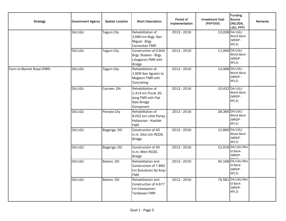| <b>Strategy</b>           | <b>Government Agency</b> | <b>Spatial Location</b> | <b>Short Description</b>                                                                   | Period of<br>Implementation | <b>Investment Cost</b><br>(PhP'000) | <b>Funding</b><br>Source<br>(NG,ODA,<br>LGU, PPP)      | Remarks |
|---------------------------|--------------------------|-------------------------|--------------------------------------------------------------------------------------------|-----------------------------|-------------------------------------|--------------------------------------------------------|---------|
|                           | DA/LGU                   | Tagum City              | Rehabilitation of<br>3.680 km Brgy. San<br>Miguel - Brgy.<br>Canocotan FMR                 | 2013 - 2016                 |                                     | 13,008 DA/LGU/<br>World Bank<br>(MRDP-<br>APL3)        |         |
|                           | DA/LGU                   | Tagum City              | Construction of 0.944<br>Brgy. Busaon - Brgy.<br>Liboganon FMR with<br><b>Bridge</b>       | $2013 - 2016$               |                                     | 11,999 DA/LGU/<br>World Bank<br>(MRDP-<br>APL3)        |         |
| Farm to Market Road (FMR) | DA/LGU                   | Tagum City              | Rehabilitation of<br>1.609 San Agustin to<br>Magdum FMR with<br>Concreting                 | 2013 - 2016                 |                                     | 14,998 DA/LGU/<br>World Bank<br>(MRDP-<br>APL3)        |         |
|                           | DA/LGU                   | Carmen, DN              | Rehabilitation of<br>1.414 km Purok 20,<br>Ising FMR with Flat<br>Slab Bridge<br>Component | 2013 - 2016                 |                                     | 10,432 DA/LGU/<br>World Bank<br>(MRDP-<br>APL3)        |         |
|                           | DA/LGU                   | Panabo City             | Rehabilitation of<br>8.002 km Little Panay -<br>Katipunan - Kasilak<br><b>FMR</b>          | 2013 - 2016                 |                                     | 28,366 DA/LGU/<br>World Bank<br>(MRDP-<br>APL3)        |         |
|                           | DA/LGU                   | Baganga, DO             | Construction of 40<br>In.m. Sitio Ulin RCDG<br><b>Bridge</b>                               | 2013 - 2016                 |                                     | 12,869 DA/LGU/<br>World Bank<br>(MRDP-<br>APL3)        |         |
|                           | DA/LGU                   | Baganga, DO             | Construction of 40<br>In.m. Mikit RCDG<br><b>Bridge</b>                                    | 2013 - 2016                 |                                     | 12,919 DA/LGU/Wor<br>Id Bank<br>(MRDP-                 |         |
|                           | DA/LGU                   | Boston, DO              | Rehabilitation and<br>Construction of 7.860<br>km Bukobuko Sa Anay<br><b>FMR</b>           | 2013 - 2016                 |                                     | 40,168 DA/LGU/Wor<br>Id Bank<br>(MRDP-<br>APL3)        |         |
|                           | DA/LGU                   | Boston, DO              | Rehabilitation and<br>Construction of 4.677<br>km Cawayanan-<br>Tandawan FMR               | 2013 - 2016                 |                                     | 76,581 DA/LGU/Wor<br><b>Id Bank</b><br>(MRDP-<br>APL3) |         |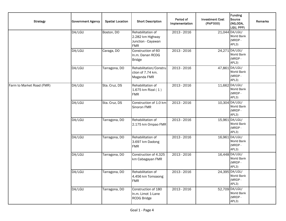| <b>Strategy</b>           | <b>Government Agency</b> | <b>Spatial Location</b> | <b>Short Description</b>                                                  | Period of<br>Implementation | <b>Investment Cost</b><br>(PhP'000) | Funding<br>Source<br>(NG,ODA,<br>LGU, PPP)      | Remarks |
|---------------------------|--------------------------|-------------------------|---------------------------------------------------------------------------|-----------------------------|-------------------------------------|-------------------------------------------------|---------|
|                           | DA/LGU                   | Boston, DO              | Rehabilitation of<br>2.282 km Highway<br>Junction - Cayawan<br><b>FMR</b> | 2013 - 2016                 |                                     | 21,044 DA/LGU/<br>World Bank<br>(MRDP-<br>APL3) |         |
|                           | DA/LGU                   | Caraga, DO              | Construction of 60<br>In.m. Danan RCDG<br><b>Bridge</b>                   | 2013 - 2016                 |                                     | 24,271 DA/LGU/<br>World Bank<br>(MRDP-<br>APL3) |         |
|                           | DA/LGU                   | Tarragona, DO           | Rehabilitation/Constru<br>ction of 7.74 km.<br>Maganda FMR                | 2013 - 2016                 |                                     | 47,861 DA/LGU/<br>World Bank<br>(MRDP-<br>APL3) |         |
| Farm to Market Road (FMR) | DA/LGU                   | Sta. Cruz, DS           | Rehabilitation of<br>$1.675$ km Rizal $(1)$<br><b>FMR</b>                 | 2013 - 2016                 |                                     | 11,662 DA/LGU/<br>World Bank<br>(MRDP-<br>APL3) |         |
|                           | DA/LGU                   | Sta. Cruz, DS           | Construction of 1.0 km<br>Sinoron FMR                                     | 2013 - 2016                 |                                     | 10,304 DA/LGU/<br>World Bank<br>(MRDP-<br>APL3) |         |
|                           | DA/LGU                   | Tarragona, DO           | Rehabilitation of<br>2.175 km Ompao FMR                                   | 2013 - 2016                 |                                     | 15,961 DA/LGU/<br>World Bank<br>(MRDP-<br>APL3) |         |
|                           | DA/LGU                   | Tarragona, DO           | Rehabilitation of<br>3.697 km Dadong<br><b>FMR</b>                        | 2013 - 2016                 |                                     | 16,961 DA/LGU/<br>World Bank<br>(MRDP-<br>APL3) |         |
|                           | DA/LGU                   | Tarragona, DO           | Construction of 4.325<br>km Cabagayan FMR                                 | 2013 - 2016                 |                                     | 16,448 DA/LGU/<br>World Bank<br>(MRDP-<br>APL3) |         |
|                           | DA/LGU                   | Tarragona, DO           | Rehabilitation of<br>4.456 km Tomoaong<br><b>FMR</b>                      | 2013 - 2016                 |                                     | 24,395 DA/LGU/<br>World Bank<br>(MRDP-<br>APL3) |         |
|                           | DA/LGU                   | Tarragona, DO           | Construction of 180<br>In.m. Limot 1-Lane<br><b>RCDG Bridge</b>           | 2013 - 2016                 |                                     | 52,709 DA/LGU/<br>World Bank<br>(MRDP-<br>APL3) |         |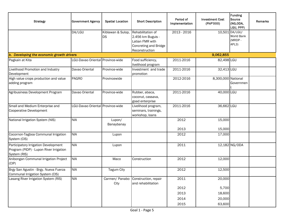| <b>Strategy</b>                                                                                 | <b>Government Agency</b>         | <b>Spatial Location</b>        | <b>Short Description</b>                                                                             | Period of<br>Implementation | <b>Investment Cost</b><br>(PhP'000) | Funding<br>Source<br>(NG,ODA,<br>LGU, PPP)      | <b>Remarks</b> |
|-------------------------------------------------------------------------------------------------|----------------------------------|--------------------------------|------------------------------------------------------------------------------------------------------|-----------------------------|-------------------------------------|-------------------------------------------------|----------------|
|                                                                                                 | DA/LGU                           | Kiblawan & Sulop,<br><b>DS</b> | Rehabilitation of<br>2.456 km Buguis -<br>Latian FMR with<br>Concreting and Bridge<br>Reconstruction | 2013 - 2016                 |                                     | 10,501 DA/LGU/<br>World Bank<br>(MRDP-<br>APL3) |                |
| b. Developing the economic growth drivers                                                       |                                  |                                |                                                                                                      |                             | 9,062,855                           |                                                 |                |
| Pagkain at Kita                                                                                 | LGU-Davao Oriental Province-wide |                                | Food sufficiency,<br>livelihood program                                                              | 2011-2016                   | 82,498 LGU                          |                                                 |                |
| Livelihood Promotion and Industry<br>Development                                                | Davao Oriental                   | Province-wide                  | Investment and trade<br>promotion                                                                    | 2011-2016                   | 32,413 LGU                          |                                                 |                |
| High value crops production and value<br>adding program                                         | <b>PAGRO</b>                     | Provincewide                   |                                                                                                      | 2012-2016                   | 8,300,000 National                  | Governmen                                       |                |
| Agribusiness Development Program                                                                | Davao Oriental                   | Province-wide                  | Rubber, abaca,<br>coconut, cassava,<br>goad enterprise                                               | 2011-2016                   | 40,000 LGU                          |                                                 |                |
| Small and Medium Enterprise and<br>Cooperative Development                                      | LGU-Davao Oriental Province-wide |                                | Livelihood program,<br>seminars, trainings,<br>workshop, loans                                       | 2011-2016                   | 36,662 LGU                          |                                                 |                |
| National Irrigation System (NIS)                                                                | <b>NIA</b>                       | Lupon/<br>Banaybanay           |                                                                                                      | 2012<br>2013                | 15,000<br>15,000                    |                                                 |                |
| Cocornon-Tagboa Communal Irrigation<br>System (CIS)                                             | <b>NIA</b>                       | Lupon                          |                                                                                                      | 2012                        | 17,000                              |                                                 |                |
| Participatory Irrigation Development<br>Program (PIDP) - Lupon River Irrigation<br>System (RIS) | <b>NIA</b>                       | Lupon                          |                                                                                                      | 2011                        |                                     | 12,182 NG/ODA                                   |                |
| Anibongan Communal Irrigation Project<br>(CIP)                                                  | <b>NIA</b>                       | Maco                           | Construction                                                                                         | 2012                        | 12,000                              |                                                 |                |
| Brgy San Agustin - Brgy. Nueva Fuerza<br>Communal Irrigation System (CIS)                       | <b>NIA</b>                       | <b>Tagum City</b>              |                                                                                                      | 2012                        | 12,500                              |                                                 |                |
| Lasang River Irrigation System (RIS)                                                            | <b>NIA</b>                       | Carmen/ Panabo<br>City         | Construction, repair<br>and rehabilitation                                                           | 2011                        | 20,000                              |                                                 |                |
|                                                                                                 |                                  |                                |                                                                                                      | 2012                        | 5,700                               |                                                 |                |
|                                                                                                 |                                  |                                |                                                                                                      | 2013                        | 18,600                              |                                                 |                |
|                                                                                                 |                                  |                                |                                                                                                      | 2014                        | 20,000                              |                                                 |                |
|                                                                                                 |                                  |                                |                                                                                                      | 2015                        | 63,600                              |                                                 |                |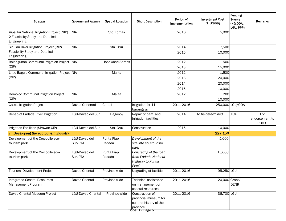| <b>Strategy</b>                                                                                | <b>Government Agency</b> | <b>Spatial Location</b> | <b>Short Description</b>                                                                                       | Period of<br>Implementation  | <b>Investment Cost</b><br>(PhP'000) | <b>Funding</b><br><b>Source</b><br>(NG,ODA,<br>LGU, PPP) | <b>Remarks</b>                         |
|------------------------------------------------------------------------------------------------|--------------------------|-------------------------|----------------------------------------------------------------------------------------------------------------|------------------------------|-------------------------------------|----------------------------------------------------------|----------------------------------------|
| Kipaliku National Irrigation Project (NIP)<br>2 Feasibility Study and Detailed<br>Engineering  | <b>NIA</b>               | Sto. Tomas              |                                                                                                                | 2016                         | 5,000                               |                                                          |                                        |
| Sibulan River Irrigation Project (RIP)<br><b>Feasibility Study and Detailed</b><br>Engineering | <b>NIA</b>               | Sta. Cruz               |                                                                                                                | 2014<br>2015                 | 7,500<br>10,000                     |                                                          |                                        |
| Balangunan Communal Irrigation Project NIA<br>(CIP)                                            |                          | <b>Jose Abad Santos</b> |                                                                                                                | 2012<br>2013                 | 500<br>15,000                       |                                                          |                                        |
| Little Baguio Communal Irrigation Project NIA<br>(CIP)                                         |                          | Malita                  |                                                                                                                | 2012<br>2013<br>2014<br>2015 | 1,500<br>20,000<br>20,000<br>10,000 |                                                          |                                        |
| Demoloc Communal Irrigation Project<br>(CIP)                                                   | <b>NIA</b>               | Malita                  |                                                                                                                | 2012                         | 200<br>10,000                       |                                                          |                                        |
| Cateel Irrigation Project                                                                      | Davao Orinental          | Cateel                  | Irrigation for 11<br>barangays                                                                                 | 2011-2016                    |                                     | 250,000 LGU/ODA                                          |                                        |
| Rehab of Padada River Irrigation                                                               | LGU-Davao del Sur        | Hagonoy                 | Repair of dam and<br>irrigation facilities                                                                     | 2014                         | To be determined                    | <b>JICA</b>                                              | For<br>endorsement to<br><b>RDC XI</b> |
| Irrigation Facilities (Sirawan CIP)                                                            | LGU-Davao del Sur        | Sta. Cruz               | Construction                                                                                                   | 2015                         | 10,000                              |                                                          |                                        |
| c. Developing the ecotourism industry                                                          |                          |                         |                                                                                                                |                              | 227,150                             |                                                          |                                        |
| Development of the Crocodile eco-<br>tourism park                                              | LGU-Davao del<br>Sur/PTA | Punta Piapi,<br>Padada  | Development of the<br>site into ecO-tourism<br>park                                                            |                              | 5,000                               |                                                          |                                        |
| Development of the Crocodile eco-<br>tourism park                                              | LGU-Davao del<br>Sur/PTA | Punta Piapi,<br>Padada  | Concreting of the road<br>from Padada National<br>Highway to Puntia<br>Piapi                                   |                              | 15,000                              |                                                          |                                        |
| Tourism Development Project                                                                    | Davao Oriental           | Province-wide           | <b>Upgrading of facilities</b>                                                                                 | 2011-2016                    | 95,250 LGU                          |                                                          |                                        |
| Integrated Coastal Resources<br>Management Program                                             | Davao Oriental           | Province-wide           | Technical assistance<br>on management of<br>coastal resources                                                  | 2011-2016                    | 20,000 Grant/                       | <b>DENR</b>                                              |                                        |
| Davao Oriental Museum Project                                                                  | LGU-Davao Oriental       | Province-wide           | Construction of<br>provincial museum for<br>culture, history of the<br> province<br><del>Goal 1 - Page 6</del> | 2011-2016                    | 36,700 LGU                          |                                                          |                                        |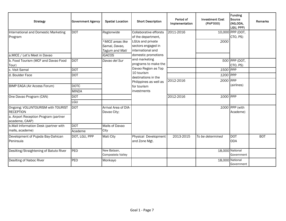| <b>Strategy</b>                                         | <b>Government Agency</b> | <b>Spatial Location</b>                             | <b>Short Description</b>                                    | Period of<br>Implementation | <b>Investment Cost</b><br>(PhP'000) | Funding<br>Source<br>(NG,ODA,<br>LGU, PPP) | Remarks    |
|---------------------------------------------------------|--------------------------|-----------------------------------------------------|-------------------------------------------------------------|-----------------------------|-------------------------------------|--------------------------------------------|------------|
| International and Domestic Marketing<br>Program         | <b>DOT</b>               | Regionwide                                          | Collaborative efforsts<br>of the department,                | 2011-2016                   |                                     | 10,000 PPP (DOT,<br>CTO, PS)               |            |
|                                                         |                          | *MICE areas like<br>Samal, Davao,<br>Tagum and Mati | LGUs and private<br>sectors engaged in<br>international and |                             | 2000                                |                                            |            |
| a.MICE / Let's Meet in Davao                            |                          | <b>IGACOS</b>                                       | domestic promotions                                         |                             |                                     |                                            |            |
| b. Food Tourism (MCF and Davao Food<br>Tour)            | <b>DOT</b>               | Davao del Sur                                       | and marketing<br>programs to make the                       |                             |                                     | 500 PPP (DOT,<br>CTO, PS)                  |            |
| c. Visit Samal                                          | <b>DOT</b>               |                                                     | Davao Region as Top                                         |                             | 1500 PPP                            |                                            |            |
| d. Boulder Face                                         | <b>DOT</b>               |                                                     | 10 tourism<br>destinations in the                           |                             | 1200 PPP                            |                                            |            |
|                                                         |                          |                                                     | Philippines as well as                                      | 2012-2016                   | 2000 PPP                            |                                            |            |
| BIMP EAGA (Air Access Forum)                            | <b>DOTC</b>              |                                                     | for tourism                                                 |                             |                                     | (airlines)                                 |            |
|                                                         | <b>MINDA</b>             |                                                     | investments                                                 |                             |                                     |                                            |            |
| One Davao Program (CAN)                                 | <b>DOT</b>               |                                                     |                                                             | 2012-2016                   | 1000 PPP                            |                                            |            |
|                                                         | LGU                      |                                                     |                                                             |                             |                                     |                                            |            |
| Ongoing: VOLUNTOURISM with TOURIST<br><b>RECEPTION</b>  | <b>DOT</b>               | Arrival Area of DIA-<br>Davao City;                 |                                                             |                             |                                     | 1000 PPP (with<br>Academe)                 |            |
| a. Airport Reception Program (partner<br>academe, CAAP) |                          |                                                     |                                                             |                             |                                     |                                            |            |
| b.Mall Information Desk (partner with                   | <b>DOT</b>               | Malls of Davao                                      |                                                             |                             |                                     |                                            |            |
| malls, academe)                                         | Academe                  | City                                                |                                                             |                             |                                     |                                            |            |
| Development of Pujada Bay-Dahican<br>Peninsula          | DOT, LGU, PPP            | Mati City                                           | Physical Development<br>and Zone Mgt.                       | 2013-2015                   | To be determined                    | <b>DOT</b><br><b>ODA</b>                   | <b>BOT</b> |
| Desilting/Straightening of Batuto River                 | PEO                      | New Bataan,<br>Compostela Valley                    |                                                             |                             |                                     | 18,000 National<br>Government              |            |
| Desilting of Naboc River                                | <b>PEO</b>               | Monkayo                                             |                                                             |                             |                                     | 18,000 National<br>Government              |            |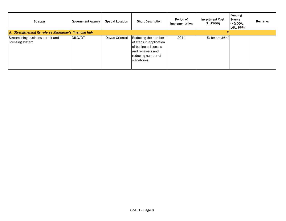| <b>Strategy</b>                                       | <b>Government Agency</b> | <b>Spatial Location</b> | <b>Short Description</b>                                                                                                        | Period of<br>Implementation | <b>Investment Cost</b><br>(PhP'000) | Funding<br>Source<br>(NG,ODA,<br>LGU, PPP) | Remarks |
|-------------------------------------------------------|--------------------------|-------------------------|---------------------------------------------------------------------------------------------------------------------------------|-----------------------------|-------------------------------------|--------------------------------------------|---------|
| d. Strengthening its role as Mindanao's financial hub |                          |                         |                                                                                                                                 |                             |                                     |                                            |         |
| Streamlining business permit and<br>licensing system  | DILG/DTI                 | Davao Oriental          | Reducing the number<br>of steps in application<br>of business licenses<br>and renewals and<br>reducing number of<br>signatories | 2014                        | To be provided                      |                                            |         |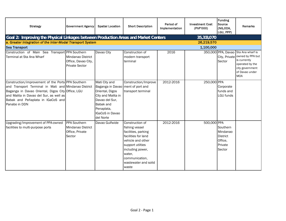| <b>Strategy</b>                                                                                                                                                                                                                                                  | <b>Government Agency</b>                                                 | <b>Spatial Location</b>                                                                                                                                                           | <b>Short Description</b>                                                                                                                                                                                  | Period of<br>Implementation | <b>Investment Cost</b><br>(PhP'000) | <b>Funding</b><br>Source<br>(NG,ODA,<br>LGU, PPP)                       | Remarks                                                                                                                                       |  |  |
|------------------------------------------------------------------------------------------------------------------------------------------------------------------------------------------------------------------------------------------------------------------|--------------------------------------------------------------------------|-----------------------------------------------------------------------------------------------------------------------------------------------------------------------------------|-----------------------------------------------------------------------------------------------------------------------------------------------------------------------------------------------------------|-----------------------------|-------------------------------------|-------------------------------------------------------------------------|-----------------------------------------------------------------------------------------------------------------------------------------------|--|--|
| Goal 2: Improving the Physical Linkages between Production Areas and Market Centers                                                                                                                                                                              |                                                                          |                                                                                                                                                                                   |                                                                                                                                                                                                           |                             | 35,313,070                          |                                                                         |                                                                                                                                               |  |  |
|                                                                                                                                                                                                                                                                  | a. Greater Integration of the Inter-Modal Transport System<br>26,219,570 |                                                                                                                                                                                   |                                                                                                                                                                                                           |                             |                                     |                                                                         |                                                                                                                                               |  |  |
| <b>Sea Transport</b>                                                                                                                                                                                                                                             |                                                                          |                                                                                                                                                                                   |                                                                                                                                                                                                           |                             | 1,100,000                           |                                                                         |                                                                                                                                               |  |  |
| Construction of Main Sea Transport PPA Southern<br>Terminal at Sta Ana Wharf                                                                                                                                                                                     | Mindanao District<br>Office, Davao City,<br><b>Private Sector</b>        | Davao City                                                                                                                                                                        | Construction of<br>modern transport<br>terminal                                                                                                                                                           | 2016                        |                                     | City, Private<br>Sector                                                 | 350,000 PPA, Davao Sta Ana wharf is<br>owned by PPA but<br>is currently<br>operated by the<br>city government<br>of Davao under<br><b>MOA</b> |  |  |
| Construction/improvement of the Ports PPA Southern<br>and Transport Terminal in Mati and Mindanao District<br>Baganga in Davao Oriental, Digos City Office, LGU<br>and Malita in Davao del Sur, as well as<br>Babak and Peñaplata in IGaCoS and<br>Panabo in DDN |                                                                          | Mati City and<br>Baganga in Davao   ment of port and<br>Oriental, Digos<br>City and Malita in<br>Davao del Sur,<br>Babak and<br>Penaplata,<br><b>IGaCoS in Davao</b><br>del Norte | Construction/Improve<br>transport terminal                                                                                                                                                                | 2012-2016                   | 250,000 PPA                         | Corporate<br>funds and<br>LGU funds                                     |                                                                                                                                               |  |  |
| Upgrading/Improvement of PPA-owned<br>facilities to multi-purpose ports                                                                                                                                                                                          | PPA Southern<br>Mindanao District<br>Office, Private<br>Sector           | Davao Gulfwide                                                                                                                                                                    | Construction of<br>fishing vessel<br>facilities, parking<br>facilities for land<br>vehicle and other<br>support utilties<br>including power,<br>water,<br>communication,<br>wastewater and solid<br>waste | 2012-2016                   | 500,000 PPA                         | Southern<br>Mindanao<br><b>District</b><br>Office.<br>Private<br>Sector |                                                                                                                                               |  |  |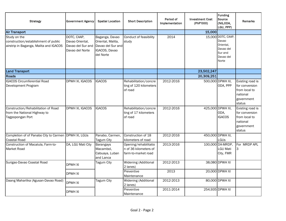| <b>Strategy</b>                                                                                | <b>Government Agency</b>                                               | <b>Spatial Location</b>                                                                | <b>Short Description</b>                                              | Period of<br>Implementation | <b>Investment Cost</b><br>(PhP'000) | <b>Funding</b><br>Source<br>(NG,ODA,<br>LGU, PPP)                                      | <b>Remarks</b>                                                                          |
|------------------------------------------------------------------------------------------------|------------------------------------------------------------------------|----------------------------------------------------------------------------------------|-----------------------------------------------------------------------|-----------------------------|-------------------------------------|----------------------------------------------------------------------------------------|-----------------------------------------------------------------------------------------|
| <b>Air Transport</b>                                                                           |                                                                        |                                                                                        |                                                                       |                             | 15,000                              |                                                                                        |                                                                                         |
| Study on the<br>construction/establishment of public<br>airstrip in Baganga, Malita and IGACOS | DOTC, CAAP,<br>Davao Oriental,<br>Davao del Sur and<br>Davao del Norte | Baganga, Davao<br>Oriental, Malita,<br>Davao del Sur and<br>IGACOS, Davao<br>del Norte | Conduct of feasibility<br>study                                       | 2014                        |                                     | 15,000 DOTC, CAAP,<br>Davao<br>Oriental,<br>Davao del<br>Sur and<br>Davao del<br>Norte |                                                                                         |
| <b>Land Transport</b>                                                                          |                                                                        |                                                                                        |                                                                       |                             | 23,502,247                          |                                                                                        |                                                                                         |
| Roads                                                                                          |                                                                        |                                                                                        |                                                                       |                             | 20,309,251                          |                                                                                        |                                                                                         |
| <b>IGACOS Circumferential Road</b><br>Development Program                                      | DPWH XI, IGACOS                                                        | <b>IGACOS</b>                                                                          | Rehabilitation/concre<br>ting of 120 kilometers<br>of road            | 2012-2016                   |                                     | 500,000 DPWH XI,<br>ODA, PPP                                                           | Existing road is<br>for conversion<br>from local to<br>national<br>government<br>status |
| Construction/Rehabilitation of Road<br>from the National Highway to<br>Tagpopongan Port        | DPWH XI, IGACOS                                                        | <b>IGACOS</b>                                                                          | Rehabilitation/concre<br>ting of 17 kilometers<br>of road             | 2012-2016                   |                                     | 425,000 DPWH XI,<br>ODA.<br><b>IGACOS</b>                                              | Existing road is<br>for conversion<br>from local to<br>national<br>government<br>status |
| Completion of of Panabo City to Carmen DPWH XI, LGUs<br>Coastal Road                           |                                                                        | Panabo, Carmen,<br>Tagum City                                                          | Construction of 18<br>kilometers of road                              | 2012-2016                   |                                     | 450,000 DPWH XI,<br>LGUs                                                               |                                                                                         |
| Construction of Macalula, Farm-to-<br><b>Market Road</b>                                       | DA, LGU Mati City                                                      | Barangays<br>Macambol,<br>Cabuaya, Luban<br>and Lanca                                  | Opening/rehabilitatio<br>n of 36 kilometers of<br>farm-to-market road | 2013-2016                   |                                     | 100,000 DA-MRDP,<br><b>LGU Mati</b><br>City, FMR                                       | For MRDP APL<br>3                                                                       |
| Surigao-Davao Coastal Road                                                                     | <b>DPWH XI</b>                                                         | Tagum City                                                                             | Widening (Additional<br>2 lanes)                                      | 2012-2013                   |                                     | 38,080 DPWH XI                                                                         |                                                                                         |
|                                                                                                | DPWH XI                                                                |                                                                                        | Preventive<br>Maintenance                                             | 2013                        |                                     | 20,000 DPWH XI                                                                         |                                                                                         |
| Daang Maharlika (Agusan-Davao Road)                                                            | <b>DPWH XI</b>                                                         | Tagum City                                                                             | <b>Widening (Additional</b><br>2 lanes)                               | 2012-2013                   |                                     | 80,000 DPWH XI                                                                         |                                                                                         |
|                                                                                                | DPWH XI                                                                |                                                                                        | Preventive<br>Maintenance                                             | 2011-2014                   |                                     | 254,935 DPWH XI                                                                        |                                                                                         |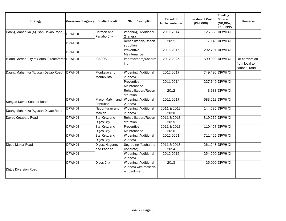| <b>Strategy</b>                                 | <b>Government Agency</b> | <b>Spatial Location</b>      | <b>Short Description</b>                                    | Period of<br>Implementation | <b>Investment Cost</b><br>(PhP'000) | <b>Funding</b><br>Source<br>(NG,ODA,<br>LGU, PPP) | <b>Remarks</b>                                   |
|-------------------------------------------------|--------------------------|------------------------------|-------------------------------------------------------------|-----------------------------|-------------------------------------|---------------------------------------------------|--------------------------------------------------|
| Daang Maharlika (Agusan-Davao Road)             | <b>DPWH XI</b>           | Carmen and<br>Panabo City    | Widening (Additional<br>2 lanes)                            | 2011-2014                   |                                     | 125,380 DPWH XI                                   |                                                  |
|                                                 | DPWH XI                  |                              | Rehabilitation/Recon<br>struction                           | 2011                        |                                     | 17,149 DPWH XI                                    |                                                  |
|                                                 | <b>DPWH XI</b>           |                              | Preventive<br>Maintenance                                   | 2011-2015                   |                                     | 292,791 DPWH XI                                   |                                                  |
| Island Garden City of Samal Circumferen DPWH XI |                          | <b>IGACOS</b>                | Improvement/Concret<br>ing                                  | 2012-2025                   |                                     | 600,000 DPWH XI                                   | For conversion<br>from local to<br>national road |
| Daang Maharlika (Agusan-Davao Road)             | <b>DPWH XI</b>           | Monkayo and<br>Montevista    | Widening (Additional<br>2 lanes)                            | 2012-2017                   |                                     | 749,492 DPWH XI                                   |                                                  |
|                                                 |                          |                              | Preventive<br>Maintenance                                   | 2011-2014                   |                                     | 227,740 DPWH XI                                   |                                                  |
|                                                 |                          |                              | Rehabilitation/Recon<br>struction                           | 2012                        |                                     | 3,688 DPWH XI                                     |                                                  |
| Surigao-Davao Coastal Road                      | <b>DPWH XI</b>           | Maco, Mabini and<br>Pantukan | <b>Widening (Additional</b><br>2 lanes)                     | 2011-2017                   |                                     | 683,213 DPWH XI                                   |                                                  |
| Daang Maharlika (Agusan-Davao Road)             | <b>DPWH XI</b>           | Nabunturan and<br>Mawab      | Widening (Additional<br>2 lanes)                            | 2011 & 2013-<br>2020        |                                     | 144,585 DPWH XI                                   |                                                  |
| Davao-Cotabato Road                             | <b>DPWH XI</b>           | Sta. Cruz and<br>Digos City  | Rehabilitation/Recon<br>struction                           | 2011 & 2013-<br>2015        |                                     | 319,279 DPWH XI                                   |                                                  |
|                                                 | <b>DPWH XI</b>           | Sta. Cruz and<br>Digos City  | Preventive<br>Maintenance                                   | 2011 & 2013-<br>2016        |                                     | 110,457 DPWH XI                                   |                                                  |
|                                                 | <b>DPWH XI</b>           | Sta. Cruz and<br>Digos City  | Widening (Additional<br>2 lanes)                            | 2012-2021                   |                                     | 711,426 DPWH XI                                   |                                                  |
| Digos-Makar Road                                | <b>DPWH XI</b>           | Digos, Hagonoy<br>and Padada | <b>Upgrading (Asphalt to</b><br>Concrete)                   | 2011 & 2013-<br>2014        |                                     | 261,248 DPWH XI                                   |                                                  |
|                                                 | <b>DPWH XI</b>           |                              | Widening (Additional<br>2 lanes)                            | 2012-2016                   |                                     | 254,200 DPWH XI                                   |                                                  |
| Digos Diversion Road                            | <b>DPWH XI</b>           | Digos City                   | Widening (Additional<br>2 lanes) with massive<br>embankment | 2013                        |                                     | 25,000 DPWH XI                                    |                                                  |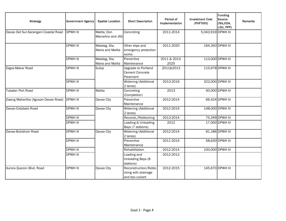| <b>Strategy</b>                      | <b>Government Agency</b> | <b>Spatial Location</b>           | <b>Short Description</b>                                       | Period of<br>Implementation | <b>Investment Cost</b><br>(PhP'000) | <b>Funding</b><br>Source<br>(NG,ODA,<br>LGU, PPP) | Remarks |
|--------------------------------------|--------------------------|-----------------------------------|----------------------------------------------------------------|-----------------------------|-------------------------------------|---------------------------------------------------|---------|
| Davao Del Sur-Sarangani Coastal Road | <b>DPWH XI</b>           | Malita, Don<br>Marcelino and JAS  | Concreting                                                     | 2011-2014                   | 5,043,919 DPWH XI                   |                                                   |         |
|                                      | <b>DPWH XI</b>           | Malalag, Sta.<br>Maria and Malita | Other slips and<br>emergency protection<br>works               | 2011-2020                   |                                     | 164,350 DPWH XI                                   |         |
|                                      | <b>DPWH XI</b>           | Malalag, Sta.<br>Maria and Malita | Preventive<br>Maintenance                                      | 2011 & 2013-<br>2025        |                                     | 113,000 DPWH XI                                   |         |
| Digos-Makar Road                     | <b>DPWH XI</b>           | Sulop                             | Upgrade to Portland<br><b>Cement Concrete</b><br>Pavement      | 2011&2013                   |                                     | 115,678 DPWH XI                                   |         |
|                                      | <b>DPWH XI</b>           |                                   | Widening (Additional<br>2 lanes)                               | 2013-2016                   |                                     | 322,000 DPWH XI                                   |         |
| <b>Tubalan Port Road</b>             | <b>DPWH XI</b>           | Malita                            | Concreting<br>(Completion)                                     | 2013                        |                                     | 40,000 DPWH XI                                    |         |
| Daang Maharlika (Agusan-Davao Road)  | <b>DPWH XI</b>           | Davao City                        | Preventive<br>Maintenance                                      | 2012-2014                   |                                     | 66,424 DPWH XI                                    |         |
| Davao-Cotabato Road                  | <b>DPWH XI</b>           | Davao City                        | Widening (Additional<br>2 lanes)                               | 2012-2014                   |                                     | 148,000 DPWH XI                                   |         |
|                                      | <b>DPWH XI</b>           |                                   | Reconst./Reblocking                                            | 2013-2014                   |                                     | 75,349 DPWH XI                                    |         |
|                                      | <b>DPWH XI</b>           |                                   | Loading & Unloading<br>Bays (7 stations)                       | 2012                        |                                     | 17,000 DPWH XI                                    |         |
| Davao-Bukidnon Road                  | <b>DPWH XI</b>           | Davao City                        | Widening (Additional<br>2 lanes)                               | 2012-2014                   |                                     | 81,186 DPWH XI                                    |         |
|                                      | <b>DPWH XI</b>           |                                   | Preventive<br>Maintenance                                      | 2011-2014                   |                                     | 58,630 DPWH XI                                    |         |
|                                      | <b>DPWH XI</b>           |                                   | Rehabilitation                                                 | 2012-2014                   |                                     | 100,000 DPWH XI                                   |         |
|                                      | <b>DPWH XI</b>           |                                   | Loading and<br>Unloading Bays (8<br>stations)                  | 2012-2013                   |                                     |                                                   |         |
| Aurora Quezon Blvd. Road             | <b>DPWH XI</b>           | Davao City                        | Reconstruction/Reblo<br>cking with drainage<br>and box culvert | 2012-2015                   |                                     | 145,670 DPWH XI                                   |         |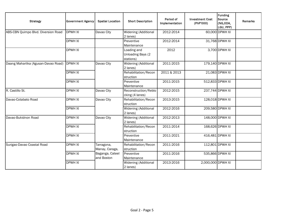| <b>Strategy</b>                     | <b>Government Agency</b> | <b>Spatial Location</b>       | <b>Short Description</b>                      | Period of<br>Implementation | <b>Investment Cost</b><br>(PhP'000) | <b>Funding</b><br>Source<br>(NG,ODA,<br>LGU, PPP) | <b>Remarks</b> |
|-------------------------------------|--------------------------|-------------------------------|-----------------------------------------------|-----------------------------|-------------------------------------|---------------------------------------------------|----------------|
| ABS-CBN Quimpo Blvd. Diversion Road | <b>DPWH XI</b>           | Davao City                    | Widening (Additional<br>2 lanes)              | 2012-2014                   |                                     | 60,000 DPWH XI                                    |                |
|                                     | <b>DPWH XI</b>           |                               | Preventive<br>Maintenance                     | 2012-2014                   |                                     | 31,768 DPWH XI                                    |                |
|                                     | <b>DPWH XI</b>           |                               | Loading and<br>Unloading Bays (2<br>stations) | 2012                        |                                     | 3,700 DPWH XI                                     |                |
| Daang Maharlika (Agusan-Davao Road) | <b>DPWH XI</b>           | Davao City                    | Widening (Additional<br>2 lanes)              | 2011-2015                   |                                     | 179,140 DPWH XI                                   |                |
|                                     | <b>DPWH XI</b>           |                               | Rehabilitation/Recon<br>struction             | 2011 & 2013                 |                                     | 21,083 DPWH XI                                    |                |
|                                     | <b>DPWH XI</b>           |                               | Preventive<br>Maintenance                     | 2011-2015                   |                                     | 512,833 DPWH XI                                   |                |
| R. Castillo St.                     | <b>DPWH XI</b>           | Davao City                    | Reconstruction/Reblo<br>cking (4 lanes)       | 2012-2015                   |                                     | 237,744 DPWH XI                                   |                |
| Davao-Cotabato Road                 | <b>DPWH XI</b>           | Davao City                    | Rehabilitation/Recon<br>struction             | 2013-2015                   |                                     | 128,018 DPWH XI                                   |                |
|                                     | <b>DPWH XI</b>           |                               | Widening (Additional<br>2 lanes)              | 2012-2016                   |                                     | 209,580 DPWH XI                                   |                |
| Davao-Bukidnon Road                 | <b>DPWH XI</b>           | Davao City                    | Widening (Additional<br>2 lanes)              | 2012-2013                   |                                     | 148,000 DPWH XI                                   |                |
|                                     | <b>DPWH XI</b>           |                               | Rehabilitation/Recon<br>struction             | 2011-2014                   |                                     | 168,626 DPWH XI                                   |                |
|                                     | <b>DPWH XI</b>           |                               | Preventive<br>Maintenance                     | 2011-2021                   |                                     | 416,481 DPWH XI                                   |                |
| Surigao-Davao Coastal Road          | <b>DPWH XI</b>           | Tarragona,<br>Manay, Caraga,  | Rehabilitation/Recon<br>struction             | 2011-2016                   |                                     | 112,801 DPWH XI                                   |                |
|                                     | <b>DPWH XI</b>           | Baganga, Cateel<br>and Boston | Preventive<br>Maintenance                     | 2011-2016                   |                                     | 535,866 DPWH XI                                   |                |
|                                     | <b>DPWH XI</b>           |                               | Widening (Additional<br>2 lanes)              | 2013-2016                   | 2,000,000 DPWH XI                   |                                                   |                |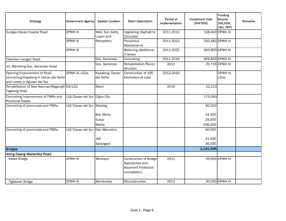| <b>Strategy</b>                                                                                       | <b>Government Agency</b>     | <b>Spatial Location</b>        | <b>Short Description</b>                                                                      | Period of<br>Implementation | <b>Investment Cost</b><br>(PhP'000) | <b>Funding</b><br>Source<br>(NG,ODA,<br>LGU, PPP) | <b>Remarks</b> |
|-------------------------------------------------------------------------------------------------------|------------------------------|--------------------------------|-----------------------------------------------------------------------------------------------|-----------------------------|-------------------------------------|---------------------------------------------------|----------------|
| Surigao-Davao Coastal Road                                                                            | <b>DPWH XI</b>               | Mati, San Isidro,<br>Lupon and | <b>Upgrading (Asphalt to</b><br>Concrete)                                                     | 2011-2012                   |                                     | 148,400 DPWH XI                                   |                |
|                                                                                                       | <b>DPWH XI</b>               | Banaybany                      | Preventive<br>Maintenance                                                                     | 2011-2023                   |                                     | 320,483 DPWH XI                                   |                |
|                                                                                                       | <b>DPWH XI</b>               |                                | Widening (Additional<br>2 lanes)                                                              | 2011-2025                   |                                     | 563,600 DPWH XI                                   |                |
| Tibanban-Lavigan Road                                                                                 |                              | Gov. Generoso                  | Concreting                                                                                    | 2011-2016                   |                                     | 926,830 DPWH XI                                   |                |
| Jct. Manikling-Gov. Generoso Road                                                                     |                              | Gov. Generoso                  | Rehabilitation/Recon<br>struction                                                             | 2011                        |                                     | 22,716 DPWH XI                                    |                |
| Opening/Improvement of Road<br>connecting Kapalong in Davao del Norte<br>and Loreto in Agusan del Sur | DPWH XI, LGUs                | Kapalong, Davao<br>del Norte   | Construction of 195<br>kilometers of road                                                     | 2012-2016                   |                                     | DPWH XI,<br>LGUs                                  |                |
| Rehabilitation of New Asturias-Magangit-DA/LGU<br><b>Taglawig Road</b>                                |                              | Maco                           |                                                                                               | 2015                        | 22,213                              |                                                   |                |
| Concreting/Improvement of FMRs and<br><b>Provincial Roads</b>                                         | LGU-Davao del Sur Digos City |                                |                                                                                               |                             | 175,000                             |                                                   |                |
| Concreting of provincials and FMRs                                                                    | LGU-Davao del Sur Malalag    |                                |                                                                                               |                             | 82,500                              |                                                   |                |
|                                                                                                       |                              | Sta. Maria                     |                                                                                               |                             | 34,500                              |                                                   |                |
|                                                                                                       |                              | Sulop                          |                                                                                               |                             | 29,000                              |                                                   |                |
|                                                                                                       |                              | Malita                         |                                                                                               |                             | 206,000                             |                                                   |                |
| Concreting of provincials and FMRs                                                                    | LGU-Davao del Sur            | Don Marcelino                  |                                                                                               |                             | 50,000                              |                                                   |                |
|                                                                                                       |                              | JAS                            |                                                                                               |                             | 41,500                              |                                                   |                |
|                                                                                                       |                              | Sarangani                      |                                                                                               |                             | 36,000                              |                                                   |                |
| <b>Bridges</b>                                                                                        |                              |                                |                                                                                               |                             | 3,192,996                           |                                                   |                |
| Along Daang Maharlika Road:                                                                           |                              |                                |                                                                                               |                             |                                     |                                                   |                |
| Kalaw Bridge                                                                                          | <b>DPWH XI</b>               | Monkayo                        | <b>Construction of Bridge</b><br>Approaches and<br><b>Abutment Protection</b><br>(completion) | 2011                        |                                     | 45,000 DPWH XI                                    |                |
| Tigbawan Bridge                                                                                       | <b>DPWH XI</b>               | Montevista                     | Reconstruction                                                                                | 2013                        |                                     | 30,000 DPWH XI                                    |                |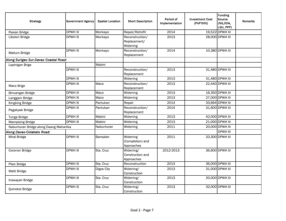| <b>Strategy</b>                         | <b>Government Agency</b> | <b>Spatial Location</b> | <b>Short Description</b>                    | Period of<br>Implementation | <b>Investment Cost</b><br>(PhP'000) | Funding<br>Source<br>(NG,ODA,<br>LGU, PPP) | <b>Remarks</b> |
|-----------------------------------------|--------------------------|-------------------------|---------------------------------------------|-----------------------------|-------------------------------------|--------------------------------------------|----------------|
| Pasian Bridge                           | <b>DPWH XI</b>           | Monkayo                 | Repair/Retrofit                             | 2014                        |                                     | 19,522 DPWH XI                             |                |
| Liboton Bridge                          | DPWH XI                  | Monkayo                 | Reconstruction/<br>Replacement/<br>Widening | 2013                        |                                     | 28,000 DPWH XI                             |                |
| Maitum Bridge                           | <b>DPWH XI</b>           | Monkayo                 | Reconstruction/<br>Replacement              | 2014                        |                                     | 10,380 DPWH XI                             |                |
| Along Surigao Sur-Davao Coastal Road:   |                          |                         |                                             |                             |                                     |                                            |                |
| Lapinigan Brige                         |                          | Mabini                  |                                             |                             |                                     |                                            |                |
|                                         | <b>DPWH XI</b>           |                         | Reconstruction/<br>Replacement              | 2013                        |                                     | 31,480 DPWH XI                             |                |
|                                         | <b>DPWH XI</b>           |                         | Widening                                    | 2013                        |                                     | 31,480 DPWH XI                             |                |
| Maco Brige                              | <b>DPWH XI</b>           | Maco                    | Reconstruction/<br>Replacement              | 2013                        |                                     | 22,440 DPWH XI                             |                |
| Binuangan Bridge                        | <b>DPWH XI</b>           | Maco                    | Widening                                    | 2013                        |                                     | 16,350 DPWH XI                             |                |
| Langgam Bridge                          | <b>DPWH XI</b>           | Maco                    | Widening                                    | 2013                        |                                     | 27,000 DPWH XI                             |                |
| Kingking Bridge                         | DPWH XI                  | Pantukan                | Repair                                      | 2014                        |                                     | 33,664 DPWH XI                             |                |
| Pagakpak Bridge                         | DPWH XI                  | Pantukan                | Reconstruction/<br>Replacement              | 2014                        |                                     | 31,600 DPWH XI                             |                |
| Tunga Bridge                            | <b>DPWH XI</b>           | Mabini                  | Widening                                    | 2013                        |                                     | 42,000 DPWH XI                             |                |
| <b>Mampising Bridge</b>                 | <b>DPWH XI</b>           | Mabini                  | Widening                                    | 2013                        |                                     | 21,000 DPWH XI                             |                |
| Nabunturan Bridge along Daang Maharlika |                          | Nabunturan              | Widening                                    | 2011                        |                                     | 20,000 DPWH XI                             |                |
| Along Davao-Cotabato Road:              |                          |                         |                                             |                             |                                     | <b>DPWH XI</b>                             |                |
| Miral Bridge                            | <b>DPWH XI</b>           | Bansalan                | Widening<br>(Completion) and<br>Approaches  | 2011                        |                                     | 33,300 DPWH XI                             |                |
| Coronon Bridge                          | <b>DPWH XI</b>           | Sta. Cruz               | Widening/<br>Construction and<br>Approaches | 2012-2013                   |                                     | 36,600 DPWH XI                             |                |
| Pilan Bridge                            | <b>DPWH XI</b>           | Sta. Cruz               | Reconstruction                              | 2013                        |                                     | 36,000 DPWH XI                             |                |
| Matti Bridge                            | <b>DPWH XI</b>           | Digos City              | Widening/<br>Construction                   | 2013                        |                                     | 31,000 DPWH XI                             |                |
| Inawayan Bridge                         | <b>DPWH XI</b>           | Sta. Cruz               | Widening/<br>Construction                   | 2013                        |                                     | 20,000 DPWH XI                             |                |
| Quinokol Bridge                         | <b>DPWH XI</b>           | Sta. Cruz               | Widening/<br>Construction                   | 2013                        |                                     | 32,000 DPWH XI                             |                |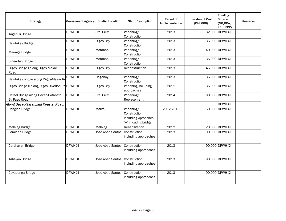| <b>Strategy</b>                                    | <b>Government Agency</b> | <b>Spatial Location</b> | <b>Short Description</b>                                                | Period of<br>Implementation | <b>Investment Cost</b><br>(PhP'000) | Funding<br>Source<br>(NG,ODA,<br>LGU, PPP) | <b>Remarks</b> |
|----------------------------------------------------|--------------------------|-------------------------|-------------------------------------------------------------------------|-----------------------------|-------------------------------------|--------------------------------------------|----------------|
| Tagabuli Bridge                                    | <b>DPWH XI</b>           | Sta. Cruz               | Widening/<br>Construction                                               | 2013                        |                                     | 32,000 DPWH XI                             |                |
| <b>Balutakay Bridge</b>                            | <b>DPWH XI</b>           | Digos City              | Widening/<br>Construction                                               | 2013                        |                                     | 36,000 DPWH XI                             |                |
| Managa Bridge                                      | <b>DPWH XI</b>           | Matanao                 | Widening/<br>Construction                                               | 2013                        |                                     | 40,000 DPWH XI                             |                |
| Sinawilan Bridge                                   | <b>DPWH XI</b>           | Matanao                 | Widening/<br>Construction                                               | 2013                        |                                     | 36,000 DPWH XI                             |                |
| Digos Bridge I along Digos-Makar<br>Road           | <b>DPWH XI</b>           | Digos City              | Reconstruction                                                          | 2013                        |                                     | 45,000 DPWH XI                             |                |
| Balutakay bridge along Digos-Makar Ro              | <b>DPWH XI</b>           | Hagonoy                 | Widening/<br>Construction                                               | 2013                        |                                     | 36,000 DPWH XI                             |                |
| Digos Bridge II along Digos Diverion Ro DPWH XI    |                          | Digos City              | Widening including<br>approaches                                        | 2011                        |                                     | 36,000 DPWH XI                             |                |
| Careel Bridge along Davao-Cotabato<br>By Pass Road | <b>DPWH XI</b>           | Sta. Cruz               | Widening/<br>Replacement                                                | 2014                        |                                     | 90,000 DPWH XI                             |                |
| Along Davao-Sarangani Coastal Road:                |                          |                         |                                                                         |                             |                                     | <b>DPWH XI</b>                             |                |
| Pangian Bridge                                     | <b>DPWH XI</b>           | Malita                  | Widening/<br>Construction<br>including Aproaches<br>"A" inlcudng bridge | 2012-2013                   |                                     | 50,000 DPWH XI                             |                |
| Malalag Bridge                                     | <b>DPWH XI</b>           | Malalag                 | Rehabilitation                                                          | 2012                        |                                     | 20,000 DPWH XI                             |                |
| Lamidan Bridge                                     | <b>DPWH XI</b>           | Jose Abad Santos        | Construction<br>including approaches                                    | 2013                        |                                     | 90,000 DPWH XI                             |                |
| Carahayan Bridge                                   | <b>DPWH XI</b>           | Jose Abad Santos        | Construction<br>including approaches                                    | 2013                        |                                     | 90,000 DPWH XI                             |                |
| Tabayon Bridge                                     | <b>DPWH XI</b>           | Jose Abad Santos        | Construction<br>including approaches                                    | 2013                        |                                     | 90,000 DPWH XI                             |                |
| Cayaponga Bridge                                   | <b>DPWH XI</b>           | <b>Jose Abad Santos</b> | Construction<br>including approaches                                    | 2013                        |                                     | 90,000 DPWH XI                             |                |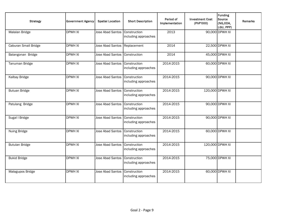| <b>Strategy</b>       | <b>Government Agency</b> | <b>Spatial Location</b> | <b>Short Description</b>             | Period of<br>Implementation | <b>Investment Cost</b><br>(PhP'000) | Funding<br>Source<br>(NG,ODA,<br>LGU, PPP) | <b>Remarks</b> |
|-----------------------|--------------------------|-------------------------|--------------------------------------|-----------------------------|-------------------------------------|--------------------------------------------|----------------|
| Malalan Bridge        | <b>DPWH XI</b>           | <b>Jose Abad Santos</b> | Construction<br>including approaches | 2013                        |                                     | 90,000 DPWH XI                             |                |
| Caburan Small Bridge  | <b>DPWH XI</b>           | <b>Jose Abad Santos</b> | Replacement                          | 2014                        |                                     | 22,500 DPWH XI                             |                |
| Balangonan Bridge     | <b>DPWH XI</b>           | <b>Jose Abad Santos</b> | Construction                         | 2014                        |                                     | 45,000 DPWH XI                             |                |
| Tanuman Bridge        | <b>DPWH XI</b>           | Jose Abad Santos        | Construction<br>including approaches | 2014-2015                   |                                     | 60,000 DPWH XI                             |                |
| Kalbay Bridge         | <b>DPWH XI</b>           | Jose Abad Santos        | Construction<br>including approaches | 2014-2015                   |                                     | 90,000 DPWH XI                             |                |
| <b>Butuan Bridge</b>  | <b>DPWH XI</b>           | <b>Jose Abad Santos</b> | Construction<br>including approaches | 2014-2015                   |                                     | 120,000 DPWH XI                            |                |
| Patulang Bridge       | <b>DPWH XI</b>           | Jose Abad Santos        | Construction<br>including approaches | 2014-2015                   |                                     | 90,000 DPWH XI                             |                |
| Sugal I Bridge        | <b>DPWH XI</b>           | Jose Abad Santos        | Construction<br>including approaches | 2014-2015                   |                                     | 90,000 DPWH XI                             |                |
| Nuing Bridge          | <b>DPWH XI</b>           | <b>Jose Abad Santos</b> | Construction<br>including approaches | 2014-2015                   |                                     | 60,000 DPWH XI                             |                |
| <b>Butulan Bridge</b> | <b>DPWH XI</b>           | Jose Abad Santos        | Construction<br>including approaches | 2014-2015                   |                                     | 120,000 DPWH XI                            |                |
| <b>Bukid Bridge</b>   | <b>DPWH XI</b>           | <b>Jose Abad Santos</b> | Construction<br>including approaches | 2014-2015                   |                                     | 75,000 DPWH XI                             |                |
| Malagupos Bridge      | <b>DPWH XI</b>           | <b>Jose Abad Santos</b> | Construction<br>including approaches | 2014-2015                   |                                     | 60,000 DPWH XI                             |                |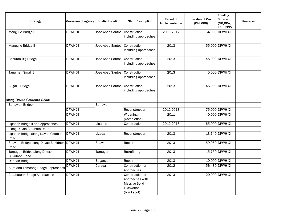| <b>Strategy</b>                                     | <b>Government Agency</b> | <b>Spatial Location</b> | <b>Short Description</b>                                                         | Period of<br>Implementation | <b>Investment Cost</b><br>(PhP'000) | <b>Funding</b><br>Source<br>(NG,ODA,<br>LGU, PPP) | <b>Remarks</b> |
|-----------------------------------------------------|--------------------------|-------------------------|----------------------------------------------------------------------------------|-----------------------------|-------------------------------------|---------------------------------------------------|----------------|
| Manguile Bridge I                                   | <b>DPWH XI</b>           | Jose Abad Santos        | Construction<br>including approaches                                             | 2011-2012                   |                                     | 54,000 DPWH XI                                    |                |
| Manguile Bridge II                                  | <b>DPWH XI</b>           | Jose Abad Santos        | Construction<br>including approaches                                             | 2013                        |                                     | 55,000 DPWH XI                                    |                |
| Caburan Big Bridge                                  | <b>DPWH XI</b>           | <b>Jose Abad Santos</b> | Construction<br>including approaches                                             | 2013                        |                                     | 45,000 DPWH XI                                    |                |
| Tanuman Small Br                                    | <b>DPWH XI</b>           | <b>Jose Abad Santos</b> | Construction<br>including approaches                                             | 2013                        |                                     | 45,000 DPWH XI                                    |                |
| Sugal II Bridge                                     | <b>DPWH XI</b>           | Jose Abad Santos        | Construction<br>including approaches                                             | 2013                        |                                     | 45,000 DPWH XI                                    |                |
| Along Davao-Cotabato Road:                          |                          |                         |                                                                                  |                             |                                     |                                                   |                |
| <b>Bunawan Bridge</b>                               |                          | Bunawan                 |                                                                                  |                             |                                     |                                                   |                |
|                                                     | <b>DPWH XI</b>           |                         | Reconstruction                                                                   | 2012-2013                   |                                     | 75,000 DPWH XI                                    |                |
|                                                     | <b>DPWH XI</b>           |                         | Widening<br>(Completion)                                                         | 2011                        |                                     | 40,000 DPWH XI                                    |                |
| Lipadas Bridge II and Approaches                    | <b>DPWH XI</b>           | Lipadas                 | Construction                                                                     | 2012-2013                   |                                     | 65,000 DPWH XI                                    |                |
| Along Davao-Cotabato Road                           |                          |                         |                                                                                  |                             |                                     |                                                   |                |
| Lipadas Bridge along Davao-Cotabato<br>Road         | <b>DPWH XI</b>           | Lizada                  | Reconstruction                                                                   | 2013                        |                                     | 13,740 DPWH XI                                    |                |
| Suawan Bridge along Davao-Bukidnon DPWH XI<br>Road  |                          | Suawan                  | Repair                                                                           | 2013                        |                                     | 59,960 DPWH XI                                    |                |
| Tamugan Bridge along Davao-<br><b>Bukidnon Road</b> | <b>DPWH XI</b>           | Tamugan                 | Retrofitting                                                                     | 2013                        |                                     | 15,750 DPWH XI                                    |                |
| Dapnan Bridge                                       | <b>DPWH XI</b>           | Baganga                 | Repair                                                                           | 2013                        |                                     | 10,000 DPWH XI                                    |                |
| Kuta and Tomoang Bridge Approaches                  | <b>DPWH XI</b>           | Caraga                  | Construction of<br>Approaches                                                    | 2012                        |                                     | 56,430 DPWH XI                                    |                |
| Carabatuan Bridge Approaches                        | <b>DPWH XI</b>           |                         | Construction of<br>Approaches with<br>Massive Solid<br>Excavation<br>(blackspot) | 2013                        |                                     | 20,000 DPWH XI                                    |                |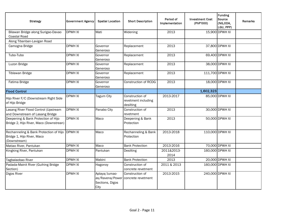| <b>Strategy</b>                                                                      | Government Agency | <b>Spatial Location</b>                                     | <b>Short Description</b>                            | Period of<br>Implementation | <b>Investment Cost</b><br>(PhP'000) | <b>Funding</b><br>Source<br>(NG,ODA,<br>LGU, PPP) | <b>Remarks</b> |
|--------------------------------------------------------------------------------------|-------------------|-------------------------------------------------------------|-----------------------------------------------------|-----------------------------|-------------------------------------|---------------------------------------------------|----------------|
| Bilawan Bridge along Surigao-Davao<br>Coastal Road                                   | <b>DPWH XI</b>    | Mati                                                        | Widening                                            | 2013                        |                                     | 15,900 DPWH XI                                    |                |
| Along Tibanban-Lavigan Road                                                          |                   |                                                             |                                                     |                             |                                     |                                                   |                |
| Camogna Bridge                                                                       | <b>DPWH XI</b>    | Governor<br>Generoso                                        | Replacement                                         | 2013                        |                                     | 37,800 DPWH XI                                    |                |
| Tubo-Tubo                                                                            | <b>DPWH XI</b>    | Governor<br>Generoso                                        | Replacement                                         | 2013                        |                                     | 69,400 DPWH XI                                    |                |
| Luzon Bridge                                                                         | <b>DPWH XI</b>    | Governor<br>Generoso                                        | Replacement                                         | 2013                        |                                     | 38,000 DPWH XI                                    |                |
| Tiblawan Bridge                                                                      | <b>DPWH XI</b>    | Governor<br>Generoso                                        | Replacement                                         | 2013                        |                                     | 111,700 DPWH XI                                   |                |
| Fatima Bridge                                                                        | <b>DPWH XI</b>    | Governor<br>Generoso                                        | <b>Construction of RCDG</b>                         | 2013                        |                                     | 18,000 DPWH XI                                    |                |
| <b>Flood Control</b>                                                                 |                   |                                                             |                                                     |                             | 1,602,323                           |                                                   |                |
| Hijo River F/C (Downstream Right Side<br>of Hijo Bridge                              | <b>DPWH XI</b>    | <b>Tagum City</b>                                           | Construction of<br>revetment including<br>desilting | 2013-2017                   |                                     | 85,000 DPWH XI                                    |                |
| Lasang River Flood Control (Upstream<br>and Downstream of Lasang Bridge              | <b>DPWH XI</b>    | Panabo City                                                 | Construction of<br>revetment                        | 2013                        |                                     | 30,000 DPWH XI                                    |                |
| Deepening & Bank Protection of Hijo<br>Bridge 2, Hijo River, Maco (Downstrean)       | <b>DPWH XI</b>    | Maco                                                        | Deepening & Bank<br>Protection                      | 2013                        |                                     | 50,000 DPWH XI                                    |                |
| Rechanneling & Bank Protection of Hijo<br>Bridge 1, Hijo River, Maco<br>(Downstream) | <b>DPWH XI</b>    | Maco                                                        | Rechanneling & Bank<br>Protection                   | 2013-2018                   |                                     | 110,000 DPWH XI                                   |                |
| Matiao River, Pantukan                                                               | <b>DPWH XI</b>    | Maco                                                        | <b>Bank Protection</b>                              | 2013-2016                   |                                     | 70,000 DPWH XI                                    |                |
| Kingking River, Pantukan                                                             | <b>DPWH XI</b>    | Pantukan                                                    | Desilting                                           | 2011&2013-<br>2014          |                                     | 160,000 DPWH XI                                   |                |
| Tagbalaobao River                                                                    | <b>DPWH XI</b>    | Mabini                                                      | <b>Bank Protection</b>                              | 2013                        |                                     | 20,000 DPWH XI                                    |                |
| Padada-Mainit River (Guihing Bridge<br>Section)                                      | <b>DPWH XI</b>    | Hagonoy                                                     | Construction of<br>concrete revetment               | 2011 & 2013                 |                                     | 160,000 DPWH XI                                   |                |
| Digos River                                                                          | <b>DPWH XI</b>    | Aplaya/Jumao-<br>as/Ravena/Power<br>Sections, Digos<br>City | Construction of<br>concrete revetment               | 2013-2015                   |                                     | 240,000 DPWH XI                                   |                |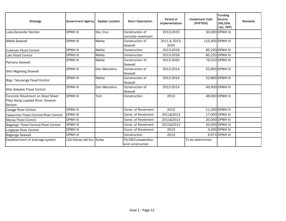| <b>Strategy</b>                                                                    | <b>Government Agency</b> | <b>Spatial Location</b> | <b>Short Description</b>               | Period of<br>Implementation | <b>Investment Cost</b><br>(PhP'000) | <b>Funding</b><br><b>Source</b><br>(NG,ODA,<br>LGU, PPP) | Remarks |
|------------------------------------------------------------------------------------|--------------------------|-------------------------|----------------------------------------|-----------------------------|-------------------------------------|----------------------------------------------------------|---------|
| Lubo-Escandor Section                                                              | <b>DPWH XI</b>           | Sta. Cruz               | Construction of<br>concrete revetment  | 2013-2015                   |                                     | 30,000 DPWH XI                                           |         |
| Malita Seawall                                                                     | <b>DPWH XI</b>           | Malita                  | Construction of<br>Seawall             | 2011 & 2013-<br>2025        |                                     | 115,400 DPWH XI                                          |         |
| Culaman Flood Control                                                              | <b>DPWH XI</b>           | Malita                  | Construction                           | 2013-2018                   |                                     | 85,220 DPWH XI                                           |         |
| Lais Flood Control                                                                 | <b>DPWH XI</b>           | Malita                  | Construction                           | 2013-2018                   |                                     | 85,220 DPWH XI                                           |         |
| Pamana Seawall                                                                     | <b>DPWH XI</b>           | Malita                  | Construction of<br>Seawall             | 2013-2020                   |                                     | 76,010 DPWH XI                                           |         |
| Sitio Migdolog Seawall                                                             | <b>DPWH XI</b>           | Don Marcelino           | Construction of<br>Seawall             | 2013-2014                   |                                     | 52,800 DPWH XI                                           |         |
| Brgy. Talucanga Flood Control                                                      | <b>DPWH XI</b>           | Malita                  | Construction of<br>Seawall             | 2013-2014                   |                                     | 52,800 DPWH XI                                           |         |
| Sitio Saladok Flood Control                                                        | <b>DPWH XI</b>           | Don Marcelino           | Construction of<br>Seawall             | 2013-2014                   |                                     | 49,500 DPWH XI                                           |         |
| Concrete Revetment on Steel Sheet<br>Piles Along Lipadas River, Sirawan<br>Section | <b>DPWH XI</b>           | Toril                   | Construction                           | 2013                        |                                     | 48,000 DPWH XI                                           |         |
| Caraga River Control                                                               | <b>DPWH XI</b>           |                         | Const. of Revetment                    | 2013                        |                                     | 11,200 DPWH XI                                           |         |
| Casauman Flood Control/River Control                                               | <b>DPWH XI</b>           |                         | Const. of Revetment                    | 2011&2013                   |                                     | 17,000 DPWH XI                                           |         |
| Manay Flood Control                                                                | <b>DPWH XI</b>           |                         | Const. of Revetment                    | 2011&2013                   |                                     | 20,000 DPWH XI                                           |         |
| Baganga Flood Control/River Control                                                | <b>DPWH XI</b>           |                         | Const. of Revetment                    | 2011&2013                   |                                     | 20,000 DPWH XI                                           |         |
| Lingayao River Control                                                             | <b>DPWH XI</b>           |                         | Const. of Revetment                    | 2013                        |                                     | 4,200 DPWH XI                                            |         |
| Baganga Seawall                                                                    | DPWH XI                  |                         | Construction                           | 2013                        |                                     | 9,973 DPWH XI                                            |         |
| Establishment of drainage system                                                   | LGU-Davao del Sur Sulop  |                         | FS/DED preparation<br>and construction |                             | To be determined                    |                                                          |         |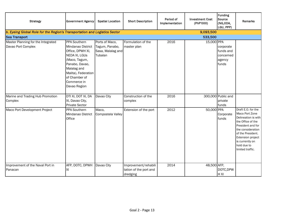| <b>Strategy</b>                                                            | <b>Government Agency</b>                                                                                                                                                                        | <b>Spatial Location</b>                                          | <b>Short Description</b>                                   | Period of<br>Implementation | <b>Investment Cost</b><br>(PhP'000) | Funding<br>Source<br>(NG,ODA,<br>LGU, PPP)             | Remarks                                                                                                                                                                                                                    |
|----------------------------------------------------------------------------|-------------------------------------------------------------------------------------------------------------------------------------------------------------------------------------------------|------------------------------------------------------------------|------------------------------------------------------------|-----------------------------|-------------------------------------|--------------------------------------------------------|----------------------------------------------------------------------------------------------------------------------------------------------------------------------------------------------------------------------------|
| b. Eyeing Global Role for the Region's Transportation and Logistics Sector |                                                                                                                                                                                                 |                                                                  |                                                            |                             | 9,093,500                           |                                                        |                                                                                                                                                                                                                            |
| <b>Sea Transport</b>                                                       |                                                                                                                                                                                                 |                                                                  |                                                            |                             | 533,500                             |                                                        |                                                                                                                                                                                                                            |
| Master Planning for the Integrated<br>Davao Port Complex                   | PPA Southern<br>Mindanao District<br>Office, DPWH XI,<br>NEDA XI, LGUS<br>(Maco, Tagum,<br>Panabo, Davao,<br>Malalag and<br>Malita), Federation<br>of Chamber of<br>Commerce in<br>Davao Region | Ports of Maco,<br>Tagum, Panabo,<br>Sasa, Malalag and<br>Tubalan | Formulation of the<br>master plan                          | 2016                        | 15,000 PPA                          | corporate<br>funds and<br>concerned<br>agency<br>funds |                                                                                                                                                                                                                            |
| Marine and Trading Hub Promotion<br>Complex                                | DTI XI, DOT XI, DA<br>XI, Davao City,<br><b>Private Sector</b>                                                                                                                                  | Davao City                                                       | Construction of the<br>complex                             | 2016                        |                                     | 300,000 Public and<br>private<br>funds                 |                                                                                                                                                                                                                            |
| Maco Port Development Project                                              | PPA Southern<br>Mindanao District<br>Office                                                                                                                                                     | Maco,<br>Compostela Valley                                       | Extension of the port                                      | 2012                        | 50,000 PPA                          | Corporate<br>funds                                     | Draft E.O. for the<br>Maco Port Zone<br>Delineation is with<br>the Office of the<br>President and for<br>the consideration<br>of the President.<br>Extension project<br>is currently on<br>hold due to<br>limited traffic. |
| Improvement of the Naval Port in<br>Panacan                                | AFP, DOTC, DPWH<br>ΧI                                                                                                                                                                           | Davao City                                                       | Improvement/rehabili<br>tation of the port and<br>dredging | 2014                        | 48,500 AFP,                         | DOTC, DPW<br>H XI                                      |                                                                                                                                                                                                                            |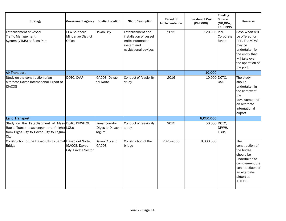| <b>Strategy</b>                                                                                                                                   | <b>Government Agency</b>                    | <b>Spatial Location</b>                               | <b>Short Description</b>                                                                                | Period of<br>Implementation | <b>Investment Cost</b><br>(PhP'000) | <b>Funding</b><br>Source<br>(NG,ODA,<br>LGU, PPP) | Remarks                                                                                                                                                 |
|---------------------------------------------------------------------------------------------------------------------------------------------------|---------------------------------------------|-------------------------------------------------------|---------------------------------------------------------------------------------------------------------|-----------------------------|-------------------------------------|---------------------------------------------------|---------------------------------------------------------------------------------------------------------------------------------------------------------|
| <b>Establishment of Vessel</b><br><b>Traffic Management</b><br>System (VTMS) at Sasa Port                                                         | PPA Southern<br>Mindanao District<br>Office | Davao City                                            | Establishment and<br>installation of vessel<br>traffc information<br>system and<br>navigational devices | 2012                        | 120,000 PPA                         | Corporate<br>funds                                | Sasa Wharf will<br>be offered for<br>PPP. The VTMS<br>may be<br>undertaken by<br>the entity that<br>will take over<br>the operation of<br>the port.     |
| <b>Air Transport</b>                                                                                                                              |                                             |                                                       |                                                                                                         |                             | 10,000                              |                                                   |                                                                                                                                                         |
| Study on the construction of an<br>alternate Davao International Airport at<br><b>IGACOS</b>                                                      | DOTC, CAAP                                  | IGACOS, Davao<br>del Norte                            | Conduct of feasibility<br>study                                                                         | 2016                        | 10,000 DOTC,                        | CAAP                                              | The study<br>should<br>undertaken in<br>the context of<br>the<br>development of<br>an alternate<br>international<br>airport                             |
| <b>Land Transport</b>                                                                                                                             |                                             |                                                       |                                                                                                         |                             | 8,050,000                           |                                                   |                                                                                                                                                         |
| Study on the Establishment of Mass DOTC, DPWH XI,<br>Rapid Transit (passenger and freight) LGUs<br>from Digos City to Davao City to Tagum<br>City |                                             | Linear corridor<br>(Digos to Davao to study<br>Tagum) | Conduct of feasibility                                                                                  | 2015                        | 50,000 DOTC,                        | DPWH,<br>LGUs                                     |                                                                                                                                                         |
| Construction of the Davao City to Samal Davao del Norte,<br>Bridge                                                                                | IGACOS, Davao<br>City, Private Sector       | Davao City and<br><b>IGACOS</b>                       | Construction of the<br>bridge                                                                           | 2025-2030                   | 8,000,000                           |                                                   | The<br>construction of<br>the bridge<br>should be<br>undertaken to<br>complement the<br>constructiuon of<br>an alternate<br>airport at<br><b>IGACOS</b> |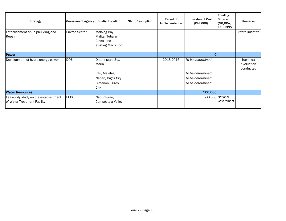| <b>Strategy</b>                                                       | <b>Government Agency</b> | <b>Spatial Location</b>                                                                     | <b>Short Description</b> | Period of<br>Implementation | <b>Investment Cost</b><br>(PhP'000)                                          | <b>Funding</b><br>Source<br>(NG,ODA,<br>LGU, PPP) | Remarks                              |
|-----------------------------------------------------------------------|--------------------------|---------------------------------------------------------------------------------------------|--------------------------|-----------------------------|------------------------------------------------------------------------------|---------------------------------------------------|--------------------------------------|
| Establishment of Shipbuilding and<br>Repair                           | <b>Private Sector</b>    | Malalag Bay,<br>Malita (Tubalan<br>Cove) and<br>existing Maco Port                          |                          |                             |                                                                              |                                                   | Private initiative                   |
| <b>Power</b>                                                          |                          |                                                                                             |                          |                             | $\Omega$                                                                     |                                                   |                                      |
| Development of hydro energy power                                     | <b>DOE</b>               | Datu Instan, Sta.<br>Maria<br>Pitu, Malalag<br>Napan, Digos City<br>Bintanon, Digos<br>City |                          | 2013-2016                   | To be determined<br>To be determined<br>To be determined<br>To be determined |                                                   | Technical<br>evaluation<br>conducted |
| <b>Water Resources</b>                                                |                          |                                                                                             |                          |                             | 500,000                                                                      |                                                   |                                      |
| Feasibility study on the establishment<br>of Water Treatment Facility | <b>PPDO</b>              | Nabunturan,<br>Compostela Valley                                                            |                          |                             | 500,000 National                                                             | Government                                        |                                      |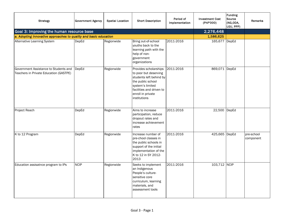| <b>Strategy</b>                                                                 | <b>Government Agency</b> | <b>Spatial Location</b> | <b>Short Description</b>                                                                                                                                                            | Period of<br>Implementation | <b>Investment Cost</b><br>(PhP'000) | <b>Funding</b><br>Source<br>(NG,ODA,<br>LGU, PPP) | Remarks                 |
|---------------------------------------------------------------------------------|--------------------------|-------------------------|-------------------------------------------------------------------------------------------------------------------------------------------------------------------------------------|-----------------------------|-------------------------------------|---------------------------------------------------|-------------------------|
| Goal 3: Improving the human resource base                                       |                          |                         |                                                                                                                                                                                     |                             | $\sqrt{2,276,448}$                  |                                                   |                         |
| a. Adopting innovative approaches to quality and basic education                |                          |                         |                                                                                                                                                                                     |                             | 1,586,625                           |                                                   |                         |
| <b>Alternative Learning System</b>                                              | DepEd                    | Regionwide              | Bring out-of-school<br>vouths back to the<br>learning path with the<br>help of non-<br>government<br>organizations                                                                  | 2011-2016                   | 165,677 DepEd                       |                                                   |                         |
| Government Assistance to Students and<br>Teachers in Private Education (GASTPE) | DepEd                    | Regionwide              | Provides scholarships<br>to poor but deserving<br>students left behind by<br>the public school<br>system's limited<br>facilities and driven to<br>enroll in private<br>institutions | 2011-2016                   | 869,071 DepEd                       |                                                   |                         |
| Project Reach                                                                   | DepEd                    | Regionwide              | Aims to increase<br>participation, reduce<br>dropout rates and<br>increase achievement<br>rates                                                                                     | 2011-2016                   | 22,500 DepEd                        |                                                   |                         |
| K to 12 Program                                                                 | DepEd                    | Regionwide              | Increase number of<br>pre-chool classes in<br>the public schools in<br>support of the initial<br>implementation of the<br>K to 12 in SY 2012-<br>2013                               | 2011-2016                   | 425,665 DepEd                       |                                                   | pre-school<br>component |
| Education assisatnce program to IPs                                             | <b>NCIP</b>              | Regionwide              | Seeks to implement<br>an Indigenous<br>People's culture-<br>sensitive core<br>curriculum, learning<br>materials, and<br>assessment tools                                            | 2011-2016                   | 103,712 NCIP                        |                                                   |                         |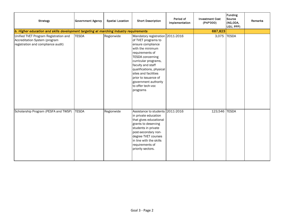| <b>Strategy</b>                                                                                              | <b>Government Agency</b> | <b>Spatial Location</b> | <b>Short Description</b>                                                                                                                                                                                                                                                                                                         | Period of<br>Implementation | <b>Investment Cost</b><br>(PhP'000) | <b>Funding</b><br>Source<br>(NG,ODA,<br>LGU, PPP) | <b>Remarks</b> |
|--------------------------------------------------------------------------------------------------------------|--------------------------|-------------------------|----------------------------------------------------------------------------------------------------------------------------------------------------------------------------------------------------------------------------------------------------------------------------------------------------------------------------------|-----------------------------|-------------------------------------|---------------------------------------------------|----------------|
| b. Higher education and skills development targeting at marching industry requirements                       |                          |                         |                                                                                                                                                                                                                                                                                                                                  |                             | 687,823                             |                                                   |                |
| Unified TVET Program Registration and<br>Accreditation System (program<br>registration and compliance audit) | <b>TESDA</b>             | Regionwide              | Mandatory registration 2011-2016<br>of TVET programs to<br>ensure compliance<br>with the minimum<br>requirements of<br><b>TESDA</b> concerning<br>curricular programs,<br>faculty and staff<br>qualifications, physical<br>sites and facilities<br>prior to issuance of<br>government authority<br>to offer tech-voc<br>programs |                             | 3,075                               | <b>TESDA</b>                                      |                |
| Scholarship Program (PESFA and TWSP)                                                                         | <b>TESDA</b>             | Regionwide              | Assistance to students 2011-2016<br>in private education<br>that gives educational<br>grants to deserving<br>students in private<br>post-secondary non-<br>degree TVET courses<br>in line with the skills<br>requirements of<br>priority sectors.                                                                                |                             | 123,546 TESDA                       |                                                   |                |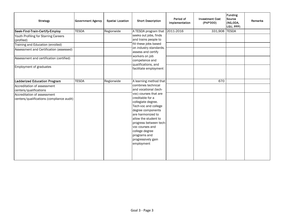| <b>Strategy</b>                                                          | <b>Government Agency</b> | <b>Spatial Location</b> | <b>Short Description</b>                                                                                                                                                                                                                                                     | Period of<br>Implementation | <b>Investment Cost</b><br>(PhP'000) | Funding<br>Source<br>(NG,ODA,<br>LGU, PPP) | <b>Remarks</b> |
|--------------------------------------------------------------------------|--------------------------|-------------------------|------------------------------------------------------------------------------------------------------------------------------------------------------------------------------------------------------------------------------------------------------------------------------|-----------------------------|-------------------------------------|--------------------------------------------|----------------|
| Seek-Find-Train-Certify-Employ                                           | <b>TESDA</b>             | Regionwide              | A TESDA program that                                                                                                                                                                                                                                                         | 2011-2016                   | 331,908                             | <b>TESDA</b>                               |                |
| Youth Profiling for Starring Careers<br>(profiled)                       |                          |                         | seeks out jobs, finds<br>and trains people to                                                                                                                                                                                                                                |                             |                                     |                                            |                |
| Training and Education (enrolled)                                        |                          |                         | fill these jobs based                                                                                                                                                                                                                                                        |                             |                                     |                                            |                |
| Assessment and Certification (assessed)                                  |                          |                         | on industry standards;<br>assess and certify                                                                                                                                                                                                                                 |                             |                                     |                                            |                |
| Assessment and certification (certified)                                 |                          |                         | workers on job<br>competence and                                                                                                                                                                                                                                             |                             |                                     |                                            |                |
| Employment of graduates                                                  |                          |                         | qualifications, and<br>facilitate employment                                                                                                                                                                                                                                 |                             |                                     |                                            |                |
| <b>Ladderized Education Program</b>                                      | <b>TESDA</b>             | Regionwide              | A learning method that                                                                                                                                                                                                                                                       |                             | 670                                 |                                            |                |
| Accreditation of assessment                                              |                          |                         | combines technical                                                                                                                                                                                                                                                           |                             |                                     |                                            |                |
| centers/qualifications                                                   |                          |                         | and vocational (tech-                                                                                                                                                                                                                                                        |                             |                                     |                                            |                |
| Accreditation of assessment<br>centers/qualifications (compliance audit) |                          |                         | voc) courses that are<br>creditable for a<br>collegiate degree.<br>Tech-voc and college<br>degree components<br>are harmonized to<br>allow the student to<br>progress between tech-<br>voc courses and<br>college degree<br>programs and<br>progressively gain<br>employment |                             |                                     |                                            |                |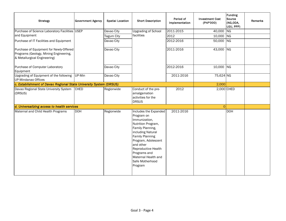| <b>Strategy</b>                                                                                                   | <b>Government Agency</b> | <b>Spatial Location</b> | <b>Short Description</b>                                                                                                                                                                                                                                                      | Period of<br>Implementation | <b>Investment Cost</b><br>(PhP'000) | <b>Funding</b><br>Source<br>(NG,ODA,<br>LGU, PPP) | Remarks |
|-------------------------------------------------------------------------------------------------------------------|--------------------------|-------------------------|-------------------------------------------------------------------------------------------------------------------------------------------------------------------------------------------------------------------------------------------------------------------------------|-----------------------------|-------------------------------------|---------------------------------------------------|---------|
| Purchase of Science Laboratory Facilities USEP                                                                    |                          | Davao City              | <b>Upgrading of School</b>                                                                                                                                                                                                                                                    | 2011-2015                   | 40,000 NG                           |                                                   |         |
| and Equipment                                                                                                     |                          | Tagum City              | facilities                                                                                                                                                                                                                                                                    | 2012                        | 10,000 NG                           |                                                   |         |
| Purchase of IT Facilities and Equipment                                                                           |                          | Davao City              |                                                                                                                                                                                                                                                                               | 2012-2016                   | 50,000 NG                           |                                                   |         |
| Purchase of Equipment for Newly-Offered<br>Programs (Geology, Mining Engineering,<br>& Metallurgical Engineering) |                          | Davao City              |                                                                                                                                                                                                                                                                               | 2011-2016                   | 43,000 NG                           |                                                   |         |
| Purchase of Computer Laboratory<br>Equipment                                                                      |                          | Davao City              |                                                                                                                                                                                                                                                                               | 2012-2016                   | 10,000 NG                           |                                                   |         |
| Upgrading of Equipment of the following<br>UP-Mindanao Offices                                                    | UP-Min                   | Davao City              |                                                                                                                                                                                                                                                                               | 2011-2016                   | 75,624 NG                           |                                                   |         |
| c. Establishment of Davao Regional State University System (DRSUS)                                                |                          |                         |                                                                                                                                                                                                                                                                               |                             | 2,000                               |                                                   |         |
| Davao Regional State University System<br>(DRSUS)                                                                 | <b>CHED</b>              | Regionwide              | Conduct of the pre-<br>amalgamation<br>activities for the<br><b>DRSUS</b>                                                                                                                                                                                                     | 2012                        |                                     | 2,000 CHED                                        |         |
| d. Universalizing access to health services                                                                       |                          |                         |                                                                                                                                                                                                                                                                               |                             | $\overline{O}$                      |                                                   |         |
| Maternal and Child Health Programs                                                                                | <b>DOH</b>               | Regionwide              | Includes the Expanded<br>Program on<br>Immunization,<br>Nutrition Program,<br>Family Planning,<br>including Natural<br><b>Family Planning</b><br>Program, Adolescent<br>and other<br>Reproductive Health<br>Programs and<br>Maternal Health and<br>Safe Motherhood<br>Program | 2011-2016                   |                                     | <b>DOH</b>                                        |         |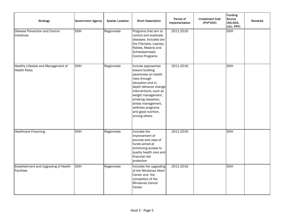| <b>Strategy</b>                                            | <b>Government Agency</b> | <b>Spatial Location</b> | <b>Short Description</b>                                                                                                                                                                                                                                                            | Period of<br>Implementation | <b>Investment Cost</b><br>(PhP'000) | Funding<br>Source<br>(NG,ODA,<br>LGU, PPP) | Remarks |
|------------------------------------------------------------|--------------------------|-------------------------|-------------------------------------------------------------------------------------------------------------------------------------------------------------------------------------------------------------------------------------------------------------------------------------|-----------------------------|-------------------------------------|--------------------------------------------|---------|
| Disease Prevention and Control<br>Initiatives              | <b>DOH</b>               | Regionwide              | Programs that aim to<br>control and eradicate<br>diseases. Included are<br>the Filariasis, Leprosy,<br>Rabies, Malaria and<br>Schistosomiasis<br><b>Control Programs</b>                                                                                                            | 2011-2016                   |                                     | <b>DOH</b>                                 |         |
| Healthy Lifestyle and Management of<br><b>Health Risks</b> | <b>DOH</b>               | Regionwide              | Include approaches<br>toward building<br>awareness on health<br>risks through<br>education and in-<br>depth behavior change<br>interventions, such as<br>weight management,<br>smoking cessation,<br>stress management,<br>wellness programs<br>and good nutrition,<br>among others | 2011-2016                   |                                     | <b>DOH</b>                                 |         |
| <b>Healthcare Financing</b>                                | <b>DOH</b>               | Regionwide              | Includes the<br>improvement of<br>sources and uses of<br>funds aimed at<br>enhancing access to<br>quality health care and<br>financial risk<br>protection                                                                                                                           | 2011-2016                   |                                     | <b>DOH</b>                                 |         |
| Establishment and Upgrading of Health<br>Facilities        | <b>DOH</b>               | Regionwide              | Includes the upgrading<br>of the Mindanao Heart<br>Center and the<br>completion of the<br>Mindanao Cancer<br>Center                                                                                                                                                                 | 2011-2016                   |                                     | <b>DOH</b>                                 |         |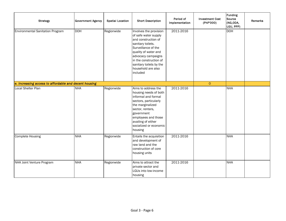| <b>Strategy</b>                                       | <b>Government Agency</b> | <b>Spatial Location</b> | <b>Short Description</b>                                                                                                                                                                                                                               | Period of<br>Implementation | <b>Investment Cost</b><br>(PhP'000) | <b>Funding</b><br>Source<br>(NG,ODA,<br>LGU, PPP) | Remarks |
|-------------------------------------------------------|--------------------------|-------------------------|--------------------------------------------------------------------------------------------------------------------------------------------------------------------------------------------------------------------------------------------------------|-----------------------------|-------------------------------------|---------------------------------------------------|---------|
| Environmental Sanitation Program                      | <b>DOH</b>               | Regionwide              | Involves the provision<br>of safe water supply<br>and construction of<br>sanitary toilets.<br>Surveillance of the<br>quality of water and<br>advocacy campaigns<br>in the construction of<br>sanitary toilets by the<br>household are also<br>included | 2011-2016                   |                                     | <b>DOH</b>                                        |         |
| e. Increasing access to affordable and decent housing |                          |                         |                                                                                                                                                                                                                                                        |                             | $\circ$                             |                                                   |         |
| Local Shelter Plan                                    | <b>NHA</b>               | Regionwide              | Aims to address the<br>housing needs of both<br>informal and formal<br>sectors, particularly<br>the marginalized<br>sector, renters,<br>government<br>employees and those<br>availing of either<br>socialized or economic<br>housing                   | 2011-2016                   |                                     | <b>NHA</b>                                        |         |
| Complete Housing                                      | <b>NHA</b>               | Regionwide              | Entails the acquisition<br>and development of<br>raw land and the<br>construction of core<br>housing units                                                                                                                                             | 2011-2016                   |                                     | <b>NHA</b>                                        |         |
| NHA Joint Venture Program                             | <b>NHA</b>               | Regionwide              | Aims to attract the<br>private sector and<br>LGUs into low-income<br>housing                                                                                                                                                                           | 2011-2016                   |                                     | <b>NHA</b>                                        |         |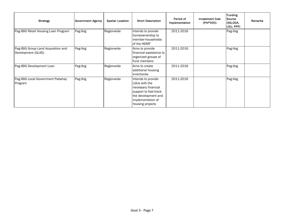| <b>Strategy</b>                                           | <b>Government Agency</b> | <b>Spatial Location</b> | <b>Short Description</b>                                                                                                                            | Period of<br>Implementation | <b>Investment Cost</b><br>(PhP'000) | Funding<br>Source<br>KNG,ODA,<br>LGU, PPP) | Remarks |
|-----------------------------------------------------------|--------------------------|-------------------------|-----------------------------------------------------------------------------------------------------------------------------------------------------|-----------------------------|-------------------------------------|--------------------------------------------|---------|
| Pag-IBIG Retail Housing Loan Program                      | Pag-Ibig                 | Regionwide              | Intends to provide<br>homeownership to<br>member-households<br>of the HDMF                                                                          | 2011-2016                   |                                     | Pag-Ibig                                   |         |
| Pag-IBIG Group Land Acquisition and<br>Development (GLAD) | Pag-Ibig                 | Regionwide              | Aims to provide<br>financial assistance to<br>organized groups of<br>fund members                                                                   | 2011-2016                   |                                     | Pag-Ibig                                   |         |
| Pag-IBIG Development Loan                                 | Pag-Ibig                 | Regionwide              | Aims to create<br>additional housing<br>inventories                                                                                                 | 2011-2016                   |                                     | Pag-Ibig                                   |         |
| Pag-IBIG Local Government Pabahay<br>Program              | Pag-Ibig                 | Regionwide              | Intends to provide<br>LGUs with the<br>necessary financial<br>support to fast-track<br>the development and<br>implementation of<br>housing projects | 2011-2016                   |                                     | Pag-Ibig                                   |         |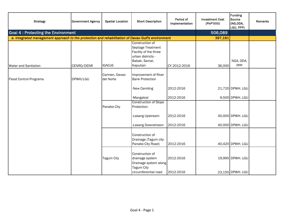| <b>Strategy</b>                                                                                    | <b>Government Agency</b> | <b>Spatial Location</b>    | <b>Short Description</b>                                                                                        | Period of<br>Implementation | <b>Investment Cost</b><br>(PhP'000) | Funding<br>Source<br>(NG,ODA,<br>LGU, PPP) | Remarks |
|----------------------------------------------------------------------------------------------------|--------------------------|----------------------------|-----------------------------------------------------------------------------------------------------------------|-----------------------------|-------------------------------------|--------------------------------------------|---------|
| <b>Goal 4: Protecting the Environment</b>                                                          |                          |                            |                                                                                                                 |                             | 506,089                             |                                            |         |
| a. Integrated management approach to the protection and rehabilitation of Davao Gulf's environment |                          |                            |                                                                                                                 |                             | 397,181                             |                                            |         |
| <b>Water and Sanitation</b>                                                                        | CENRO/DENR               | <b>IGACoS</b>              | Construction of<br>Septage Treatment<br>Facility of the three<br>urban districts -<br>Babak, Samal,<br>Kaputian | CY 2012-2016                | 36,000                              | NGA, ODA,<br>PPP                           |         |
| <b>Flood Control Programs</b>                                                                      | DPWH/LGU                 | Carmen, Davao<br>del Norte | Improvement of River<br><b>Bank Protection</b>                                                                  |                             |                                     |                                            |         |
|                                                                                                    |                          |                            | -New Camiling                                                                                                   | 2012-2016                   |                                     | 21,720 DPWH. LGU                           |         |
|                                                                                                    |                          |                            | -Mangalcal                                                                                                      | 2012-2016                   |                                     | 9,500 DPWH. LGU                            |         |
|                                                                                                    |                          | Panabo City                | <b>Construction of Slope</b><br>Protection:                                                                     |                             |                                     |                                            |         |
|                                                                                                    |                          |                            | -Lasang Upstream                                                                                                | 2012-2016                   |                                     | 40,000 DPWH. LGU                           |         |
|                                                                                                    |                          |                            | -Lasang Downstream                                                                                              | 2012-2016                   |                                     | 40,000 DPWH. LGU                           |         |
|                                                                                                    |                          |                            | Construction of<br>Drainage (Tagum city-<br>Panabo City Road)                                                   | 2012-2016                   |                                     | 40,420 DPWH. LGU                           |         |
|                                                                                                    |                          | <b>Tagum City</b>          | Construction of<br>drainage system<br>Drainage system along<br>Tagum City<br>circumferential road               | 2012-2016<br>2012-2016      |                                     | 19,995 DPWH. LGU<br>23,150 DPWH. LGU       |         |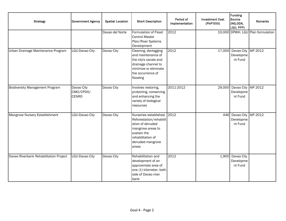| <b>Strategy</b>                        | <b>Government Agency</b>                | <b>Spatial Location</b> | <b>Short Description</b>                                                                                                                                         | Period of<br>Implementation | <b>Investment Cost</b><br>(PhP'000) | Funding<br>Source<br>(NG,ODA,<br>LGU, PPP)         | Remarks                           |
|----------------------------------------|-----------------------------------------|-------------------------|------------------------------------------------------------------------------------------------------------------------------------------------------------------|-----------------------------|-------------------------------------|----------------------------------------------------|-----------------------------------|
|                                        |                                         | Davao del Norte         | Formulation of Flood<br><b>Control Master</b><br>Plan/River Systems<br>Development                                                                               | 2012                        |                                     |                                                    | 10,000 DPWH. LGU Plan formulation |
| Urban Drainage Maintenance Program     | LGU-Davao City                          | Davao City              | Cleaning, declogging<br>and maintenance of<br>the city's canals and<br>drainage channel to<br>minimize or eliminate<br>the occurrence of<br>flooding             | 2012                        |                                     | 17,000 Davao City AIP 2012<br>Developme<br>nt Fund |                                   |
| <b>Biodiversity Management Program</b> | Davao City<br>CMO/CPDO/<br><b>CENRO</b> | Davao City              | Involves restoring,<br>protecting, conserving<br>and enhancing the<br>variety of biological<br>resources                                                         | 2011-2012                   |                                     | 29,000 Davao City AIP 2012<br>Developme<br>nt Fund |                                   |
| Mangrove Nursery Establishment         | LGU-Davao City                          | Davao City              | Nurseries established, 2012<br>Reforestation/rehabilit<br>ation of denuded<br>mangrove areas to<br>sustain the<br>rehabilitation of<br>denuded mangrove<br>areas |                             |                                     | 446 Davao City AIP 2012<br>Developme<br>nt Fund    |                                   |
| Davao Riverbank Rehabilitation Project | LGU-Davao City                          | Davao City              | Rehabilitation and<br>development of an<br>approximate area of<br>one (1) kilometer, both<br>side of Davao river<br>bank                                         | 2012                        |                                     | 1,900 Davao City<br>Developme<br>nt Fund           |                                   |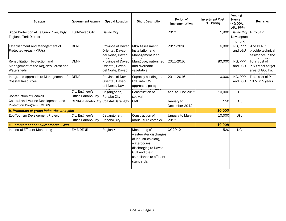| <b>Strategy</b>                                                                       | <b>Government Agency</b>                     | <b>Spatial Location</b>                                  | <b>Short Description</b>                                                                                                                                       | Period of<br>Implementation | <b>Investment Cost</b><br>(PhP'000) | Funding<br>Source<br>(NG,ODA,<br>LGU, PPP) | <b>Remarks</b>                                        |
|---------------------------------------------------------------------------------------|----------------------------------------------|----------------------------------------------------------|----------------------------------------------------------------------------------------------------------------------------------------------------------------|-----------------------------|-------------------------------------|--------------------------------------------|-------------------------------------------------------|
| Slope Protection at Tagluno River, Brgy.<br>Tagluno, Toril District                   | LGU-Davao City                               | Davao City                                               |                                                                                                                                                                | 2012                        |                                     | 1,900 Davao City<br>Developme<br>nt Fund   | AIP 2012                                              |
| Establishment and Management of<br>Protected Areas. (MPAs)                            | <b>DENR</b>                                  | Province of Davao<br>Oriental, Davao<br>del Norte, Davao | MPA Assessment,<br>installation and<br>Management Plan                                                                                                         | 2011-2016                   | 6,000                               | NG, PPP<br>and LGU                         | -The DENR<br>provide technical<br>assistance in the   |
| Rehabilitation, Protection and<br>Management of the Region's Forest and<br>Watersheds | <b>DENR</b>                                  | Province of Davao<br>Oriental, Davao<br>del Norte, Davao | Mangrove, watershed<br>and riverbank<br>vegetative                                                                                                             | 2011-2016                   | 80,000                              | NG, PPP<br>and LGU                         | Total cost of<br>P 80 M for target<br>area of 800 ha. |
| Integrated Approach to Management of<br><b>Coastal Resources</b>                      | <b>DENR</b>                                  | Province of Davao<br>Oriental, Davao<br>del Norte, Davao | Capacity building the<br>LGU into ICM<br>approach, policy                                                                                                      | 2011-2016                   | 10,000                              | NG, PPP<br>and LGU                         | Total cost of P<br>10 M in 5 years                    |
| <b>Construction of Seawall</b>                                                        | <b>City Engineer's</b><br>Office-Panabo City | Cagangohan,<br>Panabo City                               | Construction of<br>seawall                                                                                                                                     | April to June 2012          | 10,000                              | LGU                                        |                                                       |
| Coastal and Marine Development and<br>Protection Program (CMDP)                       | CENRO-Panabo City Coastal Barangay           |                                                          | <b>CMDP</b>                                                                                                                                                    | January to<br>December 2012 | 150                                 | LGU                                        |                                                       |
| b. Promotion of green industries and jobs                                             |                                              |                                                          |                                                                                                                                                                |                             | 10,000                              |                                            |                                                       |
| Eco-Tourism Development Project                                                       | City Engineer's<br>Office-Panabo City        | Cagangohan,<br>Panabo City                               | Construction of<br>mariculture complex                                                                                                                         | January to March<br>2012    | 10,000                              | LGU                                        |                                                       |
| c. Enforcement of Environmental Laws                                                  |                                              |                                                          |                                                                                                                                                                |                             | 10,908                              |                                            |                                                       |
| Industrial Effluent Monitoring                                                        | EMB-DENR                                     | Region XI                                                | Monitoring of<br>wastewater discharges<br>of industries along<br>waterbodies<br>discharging to Davao<br>Gulf and their<br>compliance to effluent<br>standards. | CY 2012                     | 520                                 | <b>NG</b>                                  |                                                       |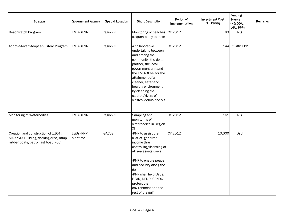| <b>Strategy</b>                                                                                                     | <b>Government Agency</b> | <b>Spatial Location</b> | <b>Short Description</b>                                                                                                                                                                                                                                                                 | Period of<br>Implementation | <b>Investment Cost</b><br>(PhP'000) | <b>Funding</b><br>Source<br>(NG,ODA,<br>LGU, PPP) | Remarks |
|---------------------------------------------------------------------------------------------------------------------|--------------------------|-------------------------|------------------------------------------------------------------------------------------------------------------------------------------------------------------------------------------------------------------------------------------------------------------------------------------|-----------------------------|-------------------------------------|---------------------------------------------------|---------|
| Beachwatch Program                                                                                                  | EMB-DENR                 | <b>Region XI</b>        | Monitoring of beaches<br>frequented by tourists                                                                                                                                                                                                                                          | CY 2012                     | 83                                  | NG                                                |         |
| Adopt-a-River/Adopt an Estero Program                                                                               | <b>EMB-DENR</b>          | <b>Region XI</b>        | A collaborative<br>undertaking between<br>and among the<br>community, the donor<br>partner, the local<br>government unit and<br>the EMB-DENR for the<br>attainment of a<br>cleaner, safer and<br>healthy environment<br>by cleaning the<br>esteros/rivers of<br>wastes, debris and silt. | CY 2012                     |                                     | 144 NG and PPP                                    |         |
| Monitoring of Waterbodies                                                                                           | EMB-DENR                 | <b>Region XI</b>        | Sampling and<br>monitoring of<br>waterbodies in Region<br>XI                                                                                                                                                                                                                             | CY 2012                     | 161                                 | <b>NG</b>                                         |         |
| Creation and construction of 1104th<br>MARPSTA Building, docking area, ramp,<br>rubber boats, patrol fast boat, PCC | LGUs/PNP<br>Maritime     | <b>IGACoS</b>           | -PNP to assist the<br>IGACoS generate<br>income thru<br>controlling/licensing of<br>all sea assets users<br>-PNP to ensure peace<br>and security along the<br>gulf<br>-PNP shall help LGUs,<br>BFAR, DENR, CENRO<br>protect the<br>environment and the<br>rest of the gulf               | CY 2012                     | 10,000                              | LGU                                               |         |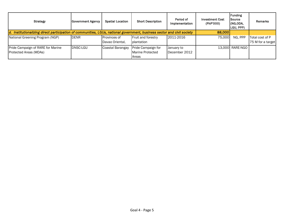| <b>Strategy</b>                                             | <b>Government Agency</b>                                                                                                | <b>Spatial Location</b>         | <b>Short Description</b>                        | Period of<br>Implementation | <b>Investment Cost</b><br>(PhP'000) | Funding<br><b>Source</b><br>(NG,ODA,<br>LGU, PPP) | Remarks                              |
|-------------------------------------------------------------|-------------------------------------------------------------------------------------------------------------------------|---------------------------------|-------------------------------------------------|-----------------------------|-------------------------------------|---------------------------------------------------|--------------------------------------|
|                                                             | d. Institutionalizing direct participation of communities, LGUs, national government, business sector and civil society |                                 |                                                 |                             |                                     |                                                   |                                      |
| National Greening Program (NGP)                             | <b>DENR</b>                                                                                                             | Provinces of<br>Davao Oriental. | Fruit and forestry<br>plantation                | 2011-2016                   | 75,000                              | NG. PPP                                           | Total cost of P<br>75 M for a target |
| Pride Campaign of RARE for Marine<br>Protected Areas (MDAs) | <b>DNSC-LGU</b>                                                                                                         | Coastal Barangay                | Pride Campaign for<br>Marine Protected<br>Areas | January to<br>December 2012 |                                     | 13,000 RARE-NGO                                   |                                      |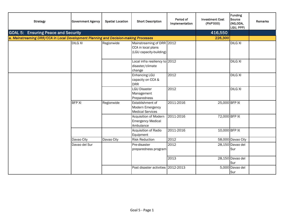| <b>Strategy</b>                                                                      | <b>Government Agency</b> | <b>Spatial Location</b> | <b>Short Description</b>                                                   | Period of<br>Implementation | <b>Investment Cost</b><br>(PhP'000) | Funding<br>Source<br>(NG,ODA,<br>LGU, PPP) | <b>Remarks</b> |
|--------------------------------------------------------------------------------------|--------------------------|-------------------------|----------------------------------------------------------------------------|-----------------------------|-------------------------------------|--------------------------------------------|----------------|
| <b>GOAL 5: Ensuring Peace and Security</b>                                           |                          |                         |                                                                            |                             | 416,550                             |                                            |                |
| a. Mainstreaming DRR/CCA in Local Development Planning and Decision-making Processes |                          |                         |                                                                            |                             | 226,300                             |                                            |                |
|                                                                                      | <b>DILG XI</b>           | Regionwide              | Mainstreaming of DRR 2012<br>CCA in local plans<br>(LGU capacity-building) |                             |                                     | <b>DILG XI</b>                             |                |
|                                                                                      |                          |                         | Local infra resiliency to 2012<br>disaster/climate<br>change               |                             |                                     | <b>DILG XI</b>                             |                |
|                                                                                      |                          |                         | Enhancing LGU<br>capacity on CCA &<br><b>DRR</b>                           | 2012                        |                                     | <b>DILG XI</b>                             |                |
|                                                                                      |                          |                         | <b>LGU Disaster</b><br>Management<br>Preparedness                          | 2012                        |                                     | <b>DILG XI</b>                             |                |
|                                                                                      | <b>BFP XI</b>            | Regionwide              | Establishment of<br>Modern Emergency<br><b>Medical Services</b>            | 2011-2016                   | 25,000 BFP XI                       |                                            |                |
|                                                                                      |                          |                         | Acquisition of Modern<br><b>Emergency Medical</b><br>Ambulance             | 2011-2016                   | 72,000 BFP XI                       |                                            |                |
|                                                                                      |                          |                         | Acquisition of Radio<br>Equipment                                          | 2011-2016                   | 10,000 BFP XI                       |                                            |                |
|                                                                                      | Davao City               | Davao City              | <b>Risk Reduction</b>                                                      | 2012                        |                                     | 58,000 Davao City                          |                |
|                                                                                      | Davao del Sur            |                         | Pre-disaster<br>preparedness program                                       | 2012                        |                                     | 28,150 Davao del<br>Sur                    |                |
|                                                                                      |                          |                         |                                                                            | 2013                        |                                     | 28,150 Davao del<br>Sur                    |                |
|                                                                                      |                          |                         | Post disaster activities 2012-2013                                         |                             |                                     | 5,000 Davao del<br>Sur                     |                |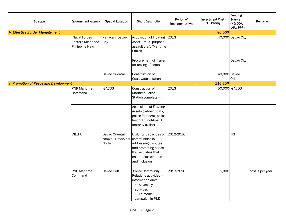| <b>Strategy</b>                      | <b>Government Agency</b>                                     | <b>Spatial Location</b>                       | <b>Short Description</b>                                                                                                                                | Period of<br>Implementation | <b>Investment Cost</b><br>(PhP'000) | <b>Funding</b><br>Source<br>(NG,ODA,<br>LGU, PPP) | <b>Remarks</b>   |
|--------------------------------------|--------------------------------------------------------------|-----------------------------------------------|---------------------------------------------------------------------------------------------------------------------------------------------------------|-----------------------------|-------------------------------------|---------------------------------------------------|------------------|
| b. Effective Border Management       |                                                              |                                               |                                                                                                                                                         |                             | 80,000                              |                                                   |                  |
|                                      | <b>Naval Forces</b><br>Eastern Mindanao -<br>Philippine Navy | Panacan, Davao<br>City                        | Acquisition of Floating<br>Asset - multi-purpose<br>assault craft (Maritime<br>Patrol)                                                                  | 2013                        |                                     | 40,000 Davao City                                 |                  |
|                                      |                                                              |                                               | <b>Procurement of Trailer</b><br>for towing of boats                                                                                                    |                             |                                     | Davao City                                        |                  |
|                                      |                                                              | Davao Oriental                                | Construction of<br>Coastwatch station                                                                                                                   |                             | 40,000 Davao                        | Oriental                                          |                  |
| c.Promotion of Peace and Development |                                                              |                                               |                                                                                                                                                         |                             |                                     | 110,250                                           |                  |
|                                      | <b>PNP</b> Maritime<br>Command                               | <b>IGACOS</b>                                 | Construction of<br><b>Maritime Police</b><br>Station complete with:                                                                                     | 2013                        |                                     | 50,000 IGACOS                                     |                  |
|                                      |                                                              |                                               | <b>Acquisition of Floating</b><br>Assets (rubber boats,<br>police fast boat, police<br>fast craft, out-board<br>motor & trailer)                        |                             |                                     |                                                   |                  |
|                                      | <b>DILG XI</b>                                               | Davao Oriental,<br>comVal, Davao del<br>Norte | Building capacities of<br>communities in<br>addressing disputes<br>and promoting peace<br>thru activities that<br>ensure participation<br>and inclusion | 2012-2016                   |                                     | <b>NG</b>                                         |                  |
|                                      | <b>PNP Maritime</b><br>Command                               | Davao Gulf                                    | <b>Police Community</b><br>Relations activities -<br>information drive<br>• Advocacy<br>activities<br>• Tri-media<br>campaign in P&D                    | 2013-2016                   | 5,000                               |                                                   | cost is per year |